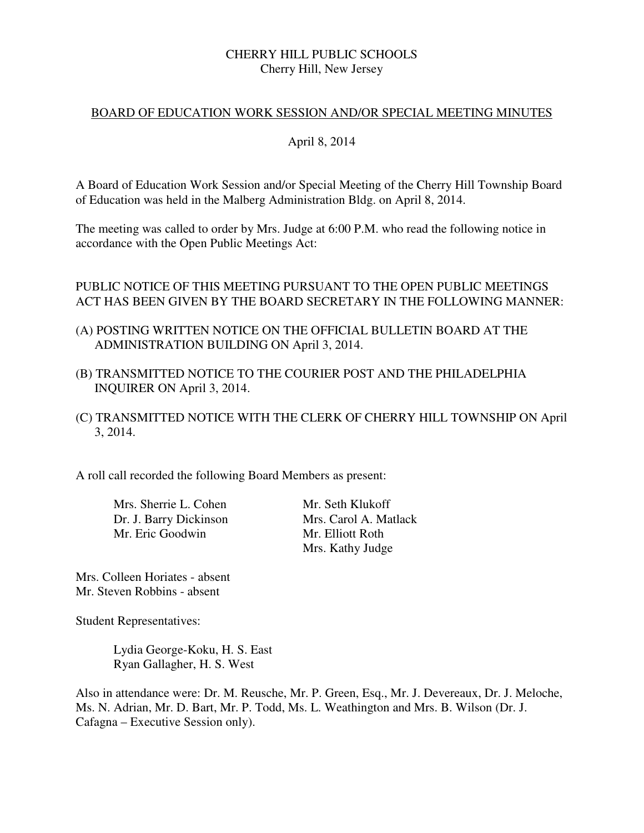# CHERRY HILL PUBLIC SCHOOLS Cherry Hill, New Jersey

### BOARD OF EDUCATION WORK SESSION AND/OR SPECIAL MEETING MINUTES

### April 8, 2014

A Board of Education Work Session and/or Special Meeting of the Cherry Hill Township Board of Education was held in the Malberg Administration Bldg. on April 8, 2014.

The meeting was called to order by Mrs. Judge at 6:00 P.M. who read the following notice in accordance with the Open Public Meetings Act:

# PUBLIC NOTICE OF THIS MEETING PURSUANT TO THE OPEN PUBLIC MEETINGS ACT HAS BEEN GIVEN BY THE BOARD SECRETARY IN THE FOLLOWING MANNER:

- (A) POSTING WRITTEN NOTICE ON THE OFFICIAL BULLETIN BOARD AT THE ADMINISTRATION BUILDING ON April 3, 2014.
- (B) TRANSMITTED NOTICE TO THE COURIER POST AND THE PHILADELPHIA INQUIRER ON April 3, 2014.
- (C) TRANSMITTED NOTICE WITH THE CLERK OF CHERRY HILL TOWNSHIP ON April 3, 2014.

A roll call recorded the following Board Members as present:

Mrs. Sherrie L. Cohen Mr. Seth Klukoff Mr. Eric Goodwin Mr. Elliott Roth

 Dr. J. Barry Dickinson Mrs. Carol A. Matlack Mrs. Kathy Judge

Mrs. Colleen Horiates - absent Mr. Steven Robbins - absent

Student Representatives:

 Lydia George-Koku, H. S. East Ryan Gallagher, H. S. West

Also in attendance were: Dr. M. Reusche, Mr. P. Green, Esq., Mr. J. Devereaux, Dr. J. Meloche, Ms. N. Adrian, Mr. D. Bart, Mr. P. Todd, Ms. L. Weathington and Mrs. B. Wilson (Dr. J. Cafagna – Executive Session only).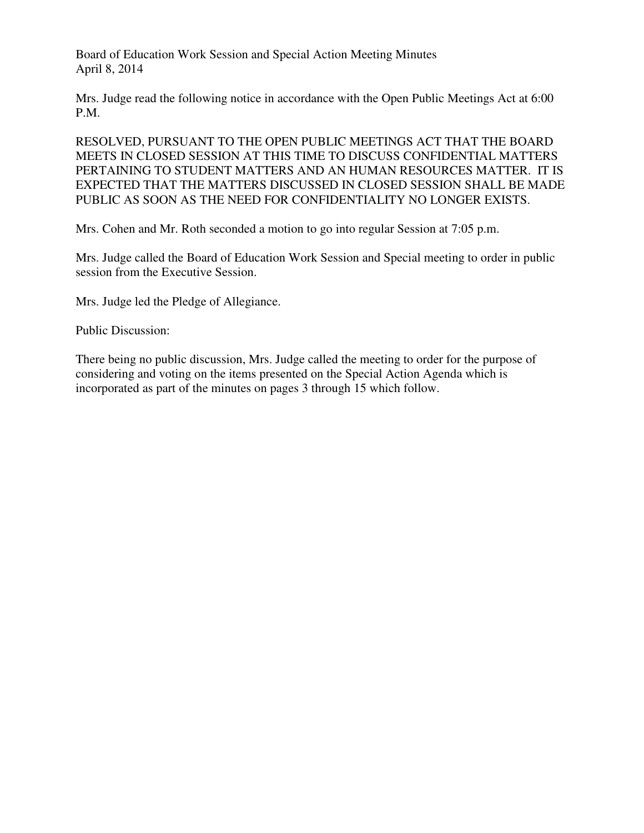Board of Education Work Session and Special Action Meeting Minutes April 8, 2014

Mrs. Judge read the following notice in accordance with the Open Public Meetings Act at 6:00 P.M.

RESOLVED, PURSUANT TO THE OPEN PUBLIC MEETINGS ACT THAT THE BOARD MEETS IN CLOSED SESSION AT THIS TIME TO DISCUSS CONFIDENTIAL MATTERS PERTAINING TO STUDENT MATTERS AND AN HUMAN RESOURCES MATTER. IT IS EXPECTED THAT THE MATTERS DISCUSSED IN CLOSED SESSION SHALL BE MADE PUBLIC AS SOON AS THE NEED FOR CONFIDENTIALITY NO LONGER EXISTS.

Mrs. Cohen and Mr. Roth seconded a motion to go into regular Session at 7:05 p.m.

Mrs. Judge called the Board of Education Work Session and Special meeting to order in public session from the Executive Session.

Mrs. Judge led the Pledge of Allegiance.

Public Discussion:

There being no public discussion, Mrs. Judge called the meeting to order for the purpose of considering and voting on the items presented on the Special Action Agenda which is incorporated as part of the minutes on pages 3 through 15 which follow.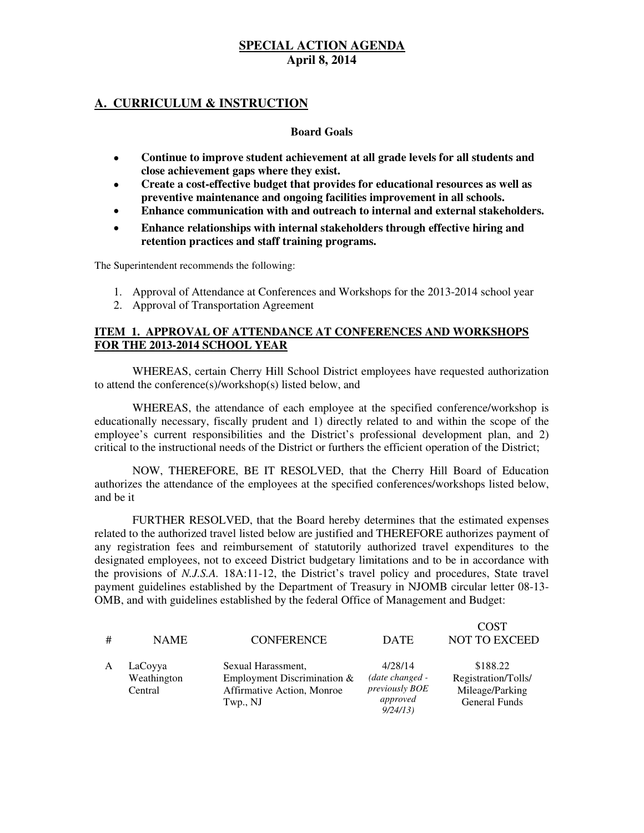### **A. CURRICULUM & INSTRUCTION**

#### **Board Goals**

- **Continue to improve student achievement at all grade levels for all students and close achievement gaps where they exist.**
- **Create a cost-effective budget that provides for educational resources as well as preventive maintenance and ongoing facilities improvement in all schools.**
- **Enhance communication with and outreach to internal and external stakeholders.**
- **Enhance relationships with internal stakeholders through effective hiring and retention practices and staff training programs.**

The Superintendent recommends the following:

- 1. Approval of Attendance at Conferences and Workshops for the 2013-2014 school year
- 2. Approval of Transportation Agreement

#### **ITEM 1. APPROVAL OF ATTENDANCE AT CONFERENCES AND WORKSHOPS FOR THE 2013-2014 SCHOOL YEAR**

WHEREAS, certain Cherry Hill School District employees have requested authorization to attend the conference(s)/workshop(s) listed below, and

WHEREAS, the attendance of each employee at the specified conference/workshop is educationally necessary, fiscally prudent and 1) directly related to and within the scope of the employee's current responsibilities and the District's professional development plan, and 2) critical to the instructional needs of the District or furthers the efficient operation of the District;

NOW, THEREFORE, BE IT RESOLVED, that the Cherry Hill Board of Education authorizes the attendance of the employees at the specified conferences/workshops listed below, and be it

FURTHER RESOLVED, that the Board hereby determines that the estimated expenses related to the authorized travel listed below are justified and THEREFORE authorizes payment of any registration fees and reimbursement of statutorily authorized travel expenditures to the designated employees, not to exceed District budgetary limitations and to be in accordance with the provisions of *N.J.S.A.* 18A:11-12, the District's travel policy and procedures, State travel payment guidelines established by the Department of Treasury in NJOMB circular letter 08-13- OMB, and with guidelines established by the federal Office of Management and Budget:

| # | <b>NAME</b>                       | <b>CONFERENCE</b>                                                                             | <b>DATE</b>                                                                | <b>COST</b><br><b>NOT TO EXCEED</b>                                        |
|---|-----------------------------------|-----------------------------------------------------------------------------------------------|----------------------------------------------------------------------------|----------------------------------------------------------------------------|
| A | LaCoyya<br>Weathington<br>Central | Sexual Harassment,<br>Employment Discrimination $&$<br>Affirmative Action, Monroe<br>Twp., NJ | 4/28/14<br>(date changed -<br><i>previously BOE</i><br>approved<br>9/24/13 | \$188.22<br>Registration/Tolls/<br>Mileage/Parking<br><b>General Funds</b> |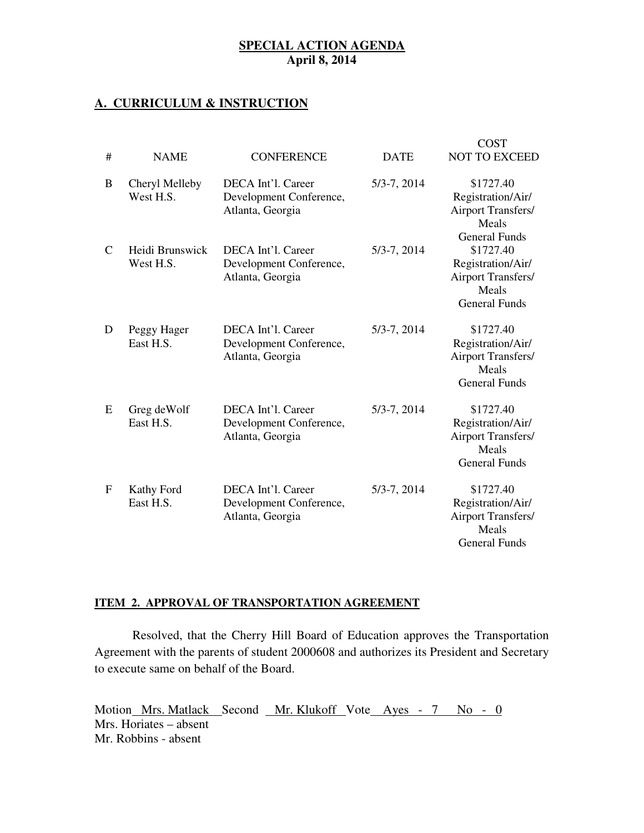### **A. CURRICULUM & INSTRUCTION**

| #             | <b>NAME</b>                  | <b>CONFERENCE</b>                                                 | <b>DATE</b>     | <b>COST</b><br><b>NOT TO EXCEED</b>                                                          |
|---------------|------------------------------|-------------------------------------------------------------------|-----------------|----------------------------------------------------------------------------------------------|
| B             | Cheryl Melleby<br>West H.S.  | DECA Int'l. Career<br>Development Conference,<br>Atlanta, Georgia | $5/3 - 7, 2014$ | \$1727.40<br>Registration/Air/<br><b>Airport Transfers/</b><br>Meals<br><b>General Funds</b> |
| $\mathcal{C}$ | Heidi Brunswick<br>West H.S. | DECA Int'l. Career<br>Development Conference,<br>Atlanta, Georgia | $5/3 - 7, 2014$ | \$1727.40<br>Registration/Air/<br><b>Airport Transfers/</b><br>Meals<br><b>General Funds</b> |
| D             | Peggy Hager<br>East H.S.     | DECA Int'l. Career<br>Development Conference,<br>Atlanta, Georgia | $5/3 - 7, 2014$ | \$1727.40<br>Registration/Air/<br><b>Airport Transfers/</b><br>Meals<br><b>General Funds</b> |
| E             | Greg deWolf<br>East H.S.     | DECA Int'l. Career<br>Development Conference,<br>Atlanta, Georgia | $5/3 - 7, 2014$ | \$1727.40<br>Registration/Air/<br><b>Airport Transfers/</b><br>Meals<br><b>General Funds</b> |
| $\mathbf{F}$  | Kathy Ford<br>East H.S.      | DECA Int'l. Career<br>Development Conference,<br>Atlanta, Georgia | $5/3 - 7, 2014$ | \$1727.40<br>Registration/Air/<br><b>Airport Transfers/</b><br>Meals<br><b>General Funds</b> |

# **ITEM 2. APPROVAL OF TRANSPORTATION AGREEMENT**

Resolved, that the Cherry Hill Board of Education approves the Transportation Agreement with the parents of student 2000608 and authorizes its President and Secretary to execute same on behalf of the Board.

Motion Mrs. Matlack Second Mr. Klukoff Vote Ayes - 7 No - 0 Mrs. Horiates – absent Mr. Robbins - absent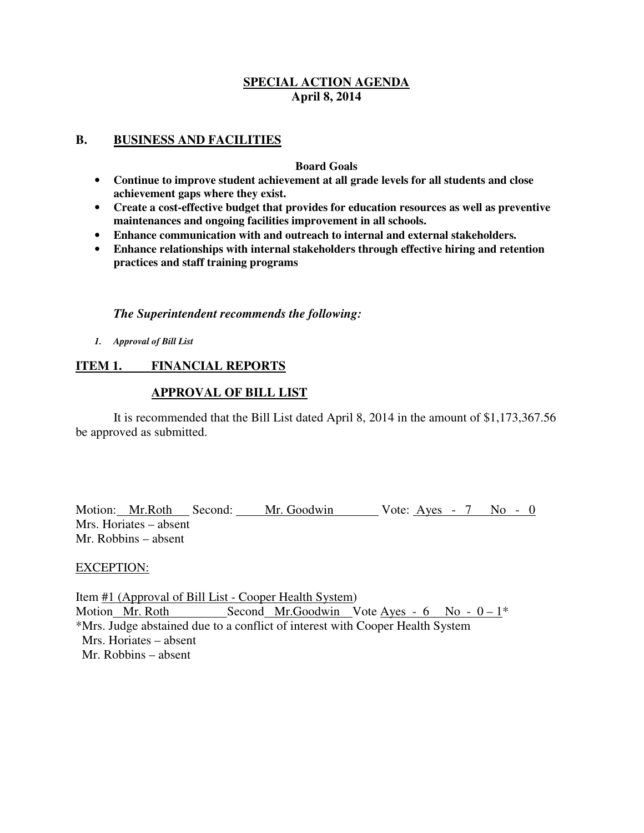#### **B. BUSINESS AND FACILITIES**

#### **Board Goals**

- **Continue to improve student achievement at all grade levels for all students and close achievement gaps where they exist.**
- **Create a cost-effective budget that provides for education resources as well as preventive maintenances and ongoing facilities improvement in all schools.**
- **Enhance communication with and outreach to internal and external stakeholders.**
- **Enhance relationships with internal stakeholders through effective hiring and retention practices and staff training programs**

#### *The Superintendent recommends the following:*

*1. Approval of Bill List* 

# **ITEM 1. FINANCIAL REPORTS**

### **APPROVAL OF BILL LIST**

 It is recommended that the Bill List dated April 8, 2014 in the amount of \$1,173,367.56 be approved as submitted.

Motion: Mr.Roth Second: Mr. Goodwin Vote: Ayes - 7 No - 0 Mrs. Horiates – absent Mr. Robbins – absent

### EXCEPTION:

Item #1 (Approval of Bill List - Cooper Health System) Motion Mr. Roth Second Mr. Goodwin Vote Ayes -  $6$  No -  $0-1^*$ \*Mrs. Judge abstained due to a conflict of interest with Cooper Health System Mrs. Horiates – absent Mr. Robbins – absent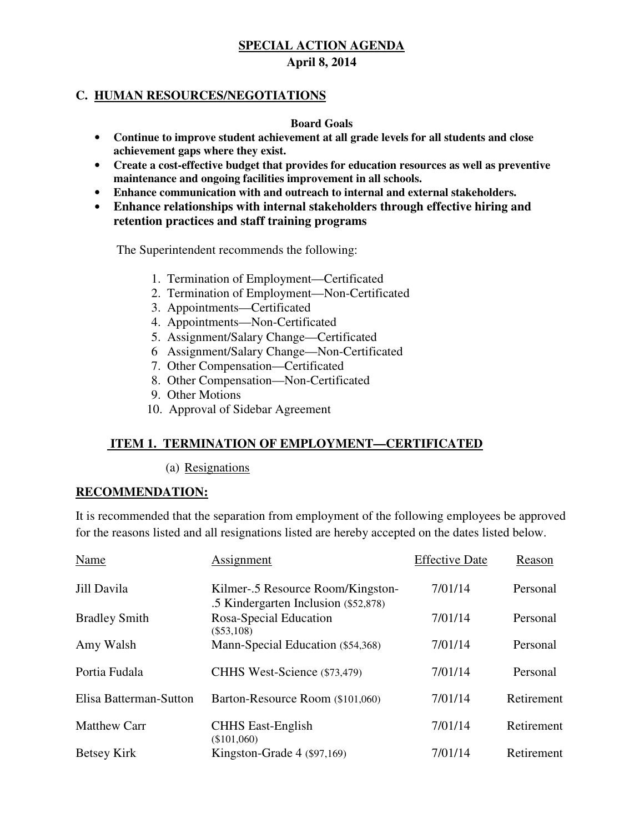# **C. HUMAN RESOURCES/NEGOTIATIONS**

### **Board Goals**

- **Continue to improve student achievement at all grade levels for all students and close achievement gaps where they exist.**
- **Create a cost-effective budget that provides for education resources as well as preventive maintenance and ongoing facilities improvement in all schools.**
- **Enhance communication with and outreach to internal and external stakeholders.**
- **Enhance relationships with internal stakeholders through effective hiring and retention practices and staff training programs**

### The Superintendent recommends the following:

- 1. Termination of Employment—Certificated
- 2. Termination of Employment—Non-Certificated
- 3. Appointments—Certificated
- 4. Appointments—Non-Certificated
- 5. Assignment/Salary Change—Certificated
- 6 Assignment/Salary Change—Non-Certificated
- 7. Other Compensation—Certificated
- 8. Other Compensation—Non-Certificated
- 9. Other Motions
- 10. Approval of Sidebar Agreement

# **ITEM 1. TERMINATION OF EMPLOYMENT—CERTIFICATED**

(a) Resignations

### **RECOMMENDATION:**

It is recommended that the separation from employment of the following employees be approved for the reasons listed and all resignations listed are hereby accepted on the dates listed below.

| Name                   | Assignment                                                                | <b>Effective Date</b> | Reason     |
|------------------------|---------------------------------------------------------------------------|-----------------------|------------|
| Jill Davila            | Kilmer-.5 Resource Room/Kingston-<br>.5 Kindergarten Inclusion (\$52,878) | 7/01/14               | Personal   |
| <b>Bradley Smith</b>   | Rosa-Special Education<br>$(\$53,108)$                                    | 7/01/14               | Personal   |
| Amy Walsh              | Mann-Special Education (\$54,368)                                         | 7/01/14               | Personal   |
| Portia Fudala          | CHHS West-Science (\$73,479)                                              | 7/01/14               | Personal   |
| Elisa Batterman-Sutton | Barton-Resource Room (\$101,060)                                          | 7/01/14               | Retirement |
| <b>Matthew Carr</b>    | <b>CHHS East-English</b><br>(\$101,060)                                   | 7/01/14               | Retirement |
| Betsey Kirk            | Kingston-Grade $4$ (\$97,169)                                             | 7/01/14               | Retirement |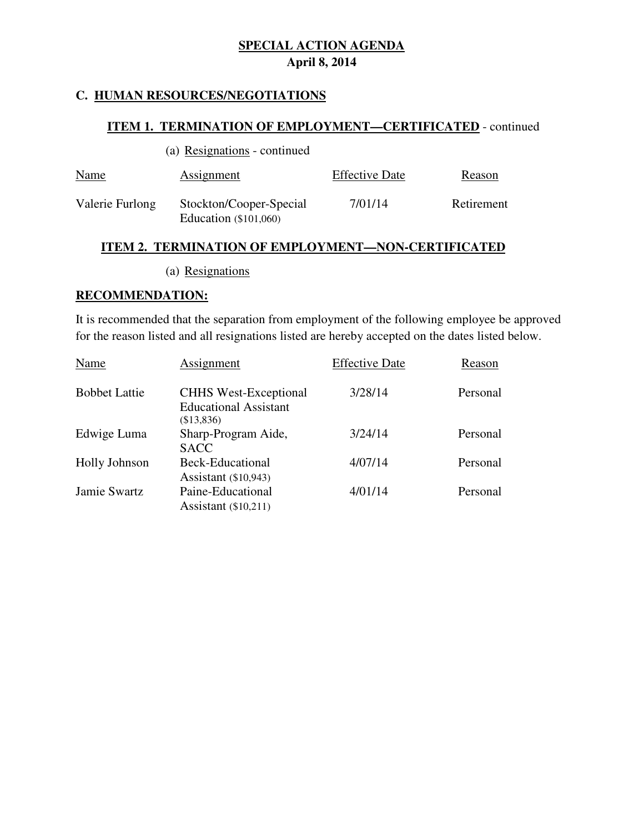# **C. HUMAN RESOURCES/NEGOTIATIONS**

# **ITEM 1. TERMINATION OF EMPLOYMENT—CERTIFICATED** - continued

| <b>Name</b>     | Assignment                                         | <b>Effective Date</b> | Reason     |
|-----------------|----------------------------------------------------|-----------------------|------------|
| Valerie Furlong | Stockton/Cooper-Special<br>Education $(\$101,060)$ | 7/01/14               | Retirement |

# **ITEM 2. TERMINATION OF EMPLOYMENT—NON-CERTIFICATED**

(a) Resignations

#### **RECOMMENDATION:**

It is recommended that the separation from employment of the following employee be approved for the reason listed and all resignations listed are hereby accepted on the dates listed below.

| Name                 | Assignment                                                                 | <b>Effective Date</b> | Reason   |
|----------------------|----------------------------------------------------------------------------|-----------------------|----------|
| <b>Bobbet Lattie</b> | <b>CHHS West-Exceptional</b><br><b>Educational Assistant</b><br>(\$13,836) | 3/28/14               | Personal |
| Edwige Luma          | Sharp-Program Aide,<br><b>SACC</b>                                         | 3/24/14               | Personal |
| <b>Holly Johnson</b> | Beck-Educational<br>Assistant (\$10,943)                                   | 4/07/14               | Personal |
| Jamie Swartz         | Paine-Educational<br>Assistant $(\$10,211)$                                | 4/01/14               | Personal |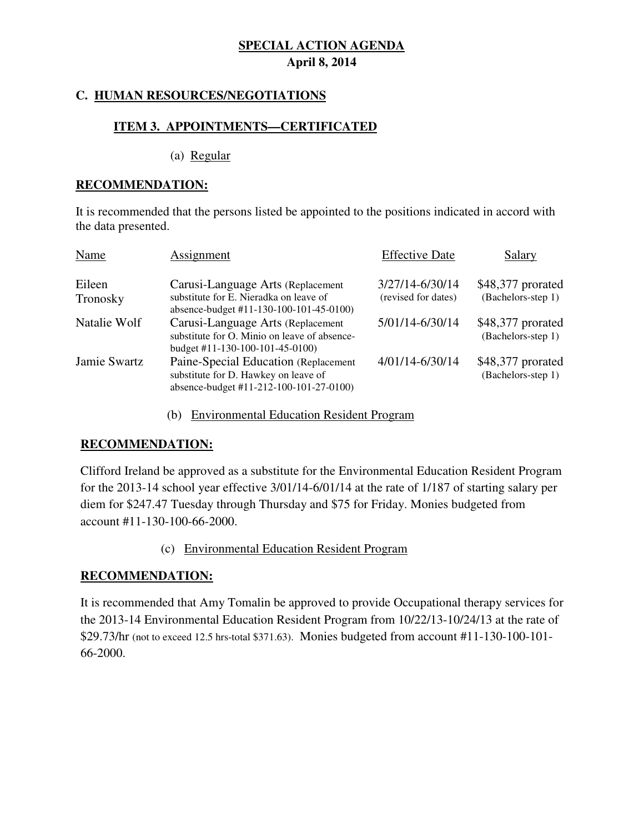# **C. HUMAN RESOURCES/NEGOTIATIONS**

# **ITEM 3. APPOINTMENTS—CERTIFICATED**

(a) Regular

# **RECOMMENDATION:**

It is recommended that the persons listed be appointed to the positions indicated in accord with the data presented.

| Name               | Assignment                                                                                                               | <b>Effective Date</b>                  | Salary                                  |
|--------------------|--------------------------------------------------------------------------------------------------------------------------|----------------------------------------|-----------------------------------------|
| Eileen<br>Tronosky | Carusi-Language Arts (Replacement<br>substitute for E. Nieradka on leave of<br>absence-budget #11-130-100-101-45-0100)   | 3/27/14-6/30/14<br>(revised for dates) | \$48,377 prorated<br>(Bachelors-step 1) |
| Natalie Wolf       | Carusi-Language Arts (Replacement<br>substitute for O. Minio on leave of absence-<br>budget #11-130-100-101-45-0100)     | 5/01/14-6/30/14                        | \$48,377 prorated<br>(Bachelors-step 1) |
| Jamie Swartz       | Paine-Special Education (Replacement)<br>substitute for D. Hawkey on leave of<br>absence-budget #11-212-100-101-27-0100) | 4/01/14-6/30/14                        | \$48,377 prorated<br>(Bachelors-step 1) |

(b) Environmental Education Resident Program

# **RECOMMENDATION:**

Clifford Ireland be approved as a substitute for the Environmental Education Resident Program for the 2013-14 school year effective 3/01/14-6/01/14 at the rate of 1/187 of starting salary per diem for \$247.47 Tuesday through Thursday and \$75 for Friday. Monies budgeted from account #11-130-100-66-2000.

### (c) Environmental Education Resident Program

# **RECOMMENDATION:**

It is recommended that Amy Tomalin be approved to provide Occupational therapy services for the 2013-14 Environmental Education Resident Program from 10/22/13-10/24/13 at the rate of \$29.73/hr (not to exceed 12.5 hrs-total \$371.63). Monies budgeted from account #11-130-100-101- 66-2000.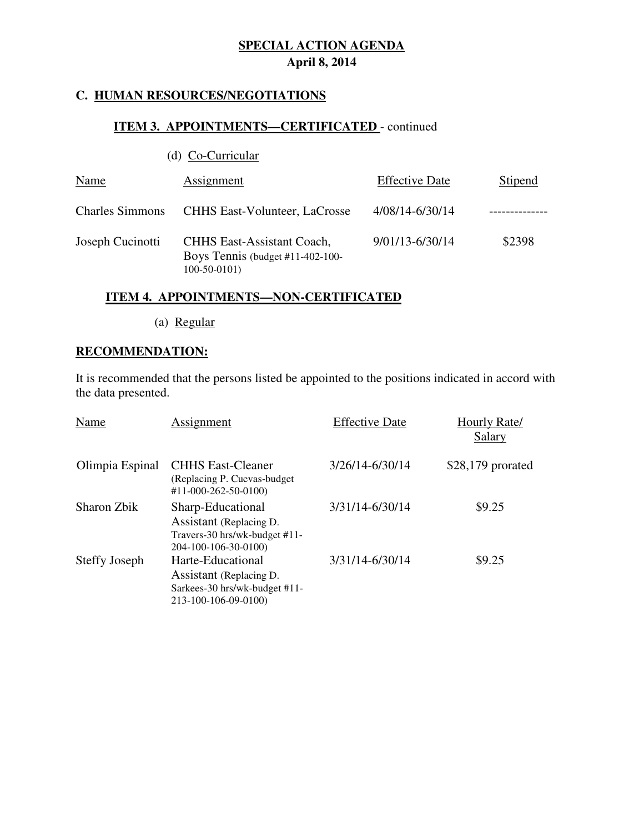# **C. HUMAN RESOURCES/NEGOTIATIONS**

# **ITEM 3. APPOINTMENTS-CERTIFICATED** - continued

|                        | (d) Co-Curricular                                                                      |                       |         |
|------------------------|----------------------------------------------------------------------------------------|-----------------------|---------|
| Name                   | Assignment                                                                             | <b>Effective Date</b> | Stipend |
| <b>Charles Simmons</b> | <b>CHHS East-Volunteer, LaCrosse</b>                                                   | 4/08/14-6/30/14       |         |
| Joseph Cucinotti       | <b>CHHS East-Assistant Coach,</b><br>Boys Tennis (budget #11-402-100-<br>$100-50-0101$ | 9/01/13-6/30/14       | \$2398  |

# **ITEM 4. APPOINTMENTS—NON-CERTIFICATED**

(a) Regular

# **RECOMMENDATION:**

It is recommended that the persons listed be appointed to the positions indicated in accord with the data presented.

| Name                 | Assignment                                                                                            | <b>Effective Date</b> | Hourly Rate/<br>Salary |
|----------------------|-------------------------------------------------------------------------------------------------------|-----------------------|------------------------|
| Olimpia Espinal      | <b>CHHS East-Cleaner</b><br>(Replacing P. Cuevas-budget)<br>$#11-000-262-50-0100$                     | 3/26/14-6/30/14       | $$28,179$ prorated     |
| Sharon Zbik          | Sharp-Educational<br>Assistant (Replacing D.<br>Travers-30 hrs/wk-budget #11-<br>204-100-106-30-0100) | 3/31/14-6/30/14       | \$9.25                 |
| <b>Steffy Joseph</b> | Harte-Educational<br>Assistant (Replacing D.<br>Sarkees-30 hrs/wk-budget #11-<br>213-100-106-09-0100) | 3/31/14-6/30/14       | \$9.25                 |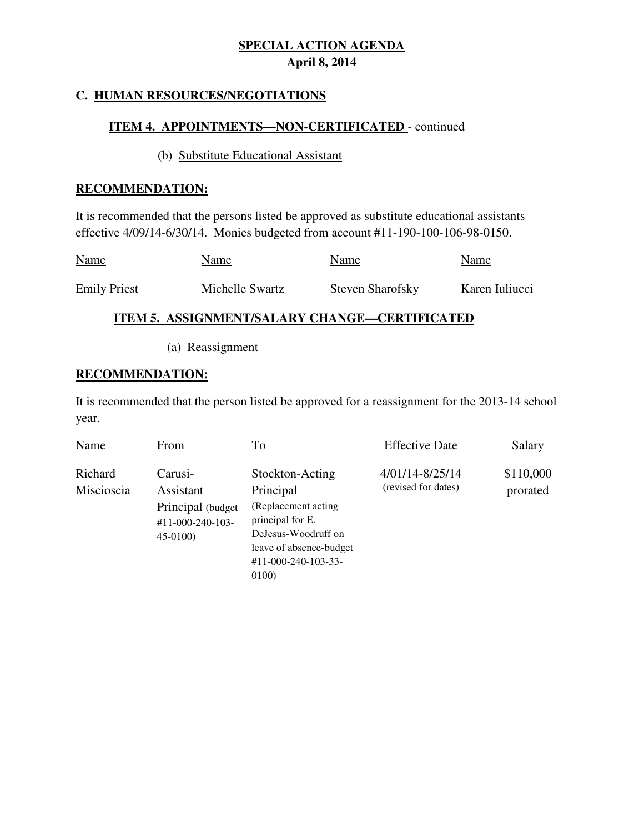# **C. HUMAN RESOURCES/NEGOTIATIONS**

# **ITEM 4. APPOINTMENTS—NON-CERTIFICATED** - continued

### (b)Substitute Educational Assistant

### **RECOMMENDATION:**

It is recommended that the persons listed be approved as substitute educational assistants effective 4/09/14-6/30/14. Monies budgeted from account #11-190-100-106-98-0150.

| <b>Name</b>         | Name            | Name             | Name           |
|---------------------|-----------------|------------------|----------------|
| <b>Emily Priest</b> | Michelle Swartz | Steven Sharofsky | Karen Iuliucci |

# **ITEM 5. ASSIGNMENT/SALARY CHANGE—CERTIFICATED**

(a) Reassignment

# **RECOMMENDATION:**

It is recommended that the person listed be approved for a reassignment for the 2013-14 school year.

| Name                  | From                                                                       | <u>To</u>                                                                                                                                                             | <b>Effective Date</b>                  | <b>Salary</b>         |
|-----------------------|----------------------------------------------------------------------------|-----------------------------------------------------------------------------------------------------------------------------------------------------------------------|----------------------------------------|-----------------------|
| Richard<br>Miscioscia | Carusi-<br>Assistant<br>Principal (budget<br>#11-000-240-103-<br>$45-0100$ | Stockton-Acting<br>Principal<br>(Replacement acting)<br>principal for E.<br>DeJesus-Woodruff on<br>leave of absence-budget<br>$#11 - 000 - 240 - 103 - 33 -$<br>0100) | 4/01/14-8/25/14<br>(revised for dates) | \$110,000<br>prorated |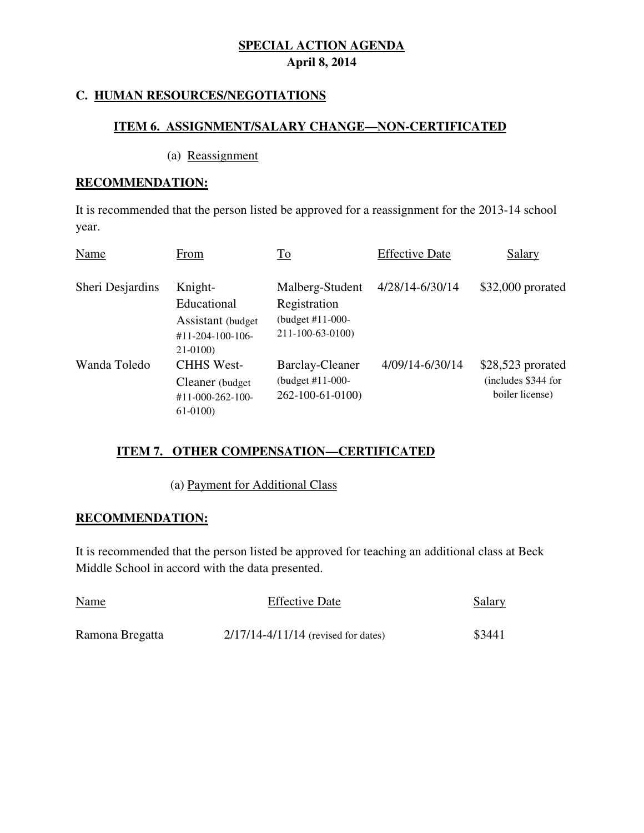# **C. HUMAN RESOURCES/NEGOTIATIONS**

### **ITEM 6. ASSIGNMENT/SALARY CHANGE—NON-CERTIFICATED**

#### (a) Reassignment

# **RECOMMENDATION:**

It is recommended that the person listed be approved for a reassignment for the 2013-14 school year.

| Name             | From                                                                               | <u>To</u>                                                                 | <b>Effective Date</b> | Salary                                                      |
|------------------|------------------------------------------------------------------------------------|---------------------------------------------------------------------------|-----------------------|-------------------------------------------------------------|
| Sheri Desjardins | Knight-<br>Educational<br>Assistant (budget<br>$#11 - 204 - 100 - 106$<br>21-0100) | Malberg-Student<br>Registration<br>(budget $#11-000-$<br>211-100-63-0100) | 4/28/14-6/30/14       | $$32,000$ prorated                                          |
| Wanda Toledo     | <b>CHHS West-</b><br>Cleaner (budget)<br>#11-000-262-100-<br>$61-0100$             | <b>Barclay-Cleaner</b><br>(budget #11-000-<br>262-100-61-0100)            | 4/09/14-6/30/14       | \$28,523 prorated<br>(includes \$344 for<br>boiler license) |

# **ITEM 7. OTHER COMPENSATION—CERTIFICATED**

(a) Payment for Additional Class

# **RECOMMENDATION:**

It is recommended that the person listed be approved for teaching an additional class at Beck Middle School in accord with the data presented.

| <b>Name</b>     | <b>Effective Date</b>                   | <b>Salary</b> |
|-----------------|-----------------------------------------|---------------|
| Ramona Bregatta | $2/17/14 - 4/11/14$ (revised for dates) | \$3441        |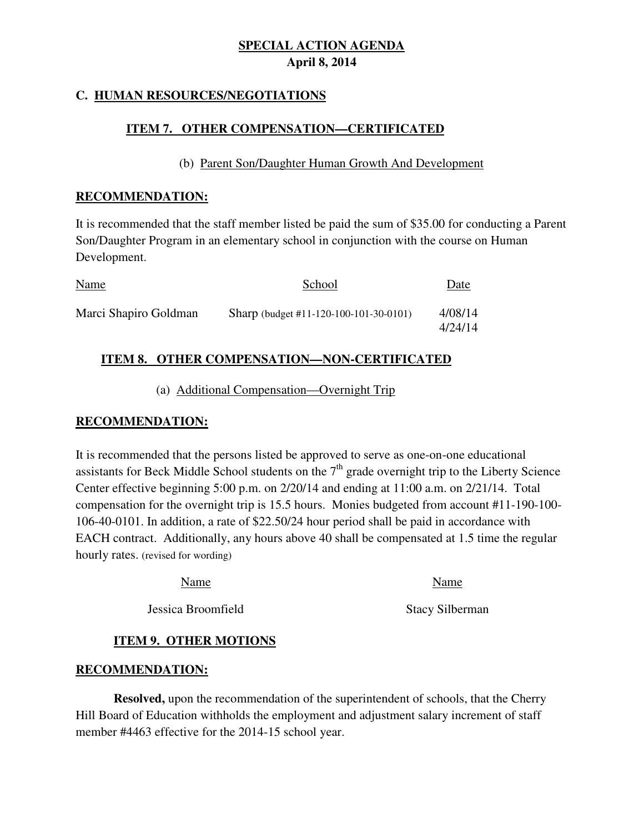# **C. HUMAN RESOURCES/NEGOTIATIONS**

# **ITEM 7. OTHER COMPENSATION—CERTIFICATED**

# (b) Parent Son/Daughter Human Growth And Development

### **RECOMMENDATION:**

It is recommended that the staff member listed be paid the sum of \$35.00 for conducting a Parent Son/Daughter Program in an elementary school in conjunction with the course on Human Development.

| <b>Name</b>           | School                                 | Date               |
|-----------------------|----------------------------------------|--------------------|
| Marci Shapiro Goldman | Sharp (budget #11-120-100-101-30-0101) | 4/08/14<br>4/24/14 |

# **ITEM 8. OTHER COMPENSATION—NON-CERTIFICATED**

# (a) Additional Compensation—Overnight Trip

# **RECOMMENDATION:**

It is recommended that the persons listed be approved to serve as one-on-one educational assistants for Beck Middle School students on the  $7<sup>th</sup>$  grade overnight trip to the Liberty Science Center effective beginning 5:00 p.m. on 2/20/14 and ending at 11:00 a.m. on 2/21/14. Total compensation for the overnight trip is 15.5 hours. Monies budgeted from account #11-190-100- 106-40-0101. In addition, a rate of \$22.50/24 hour period shall be paid in accordance with EACH contract. Additionally, any hours above 40 shall be compensated at 1.5 time the regular hourly rates. (revised for wording)

| Name               | Name                   |
|--------------------|------------------------|
| Jessica Broomfield | <b>Stacy Silberman</b> |

# **ITEM 9. OTHER MOTIONS**

# **RECOMMENDATION:**

**Resolved,** upon the recommendation of the superintendent of schools, that the Cherry Hill Board of Education withholds the employment and adjustment salary increment of staff member #4463 effective for the 2014-15 school year.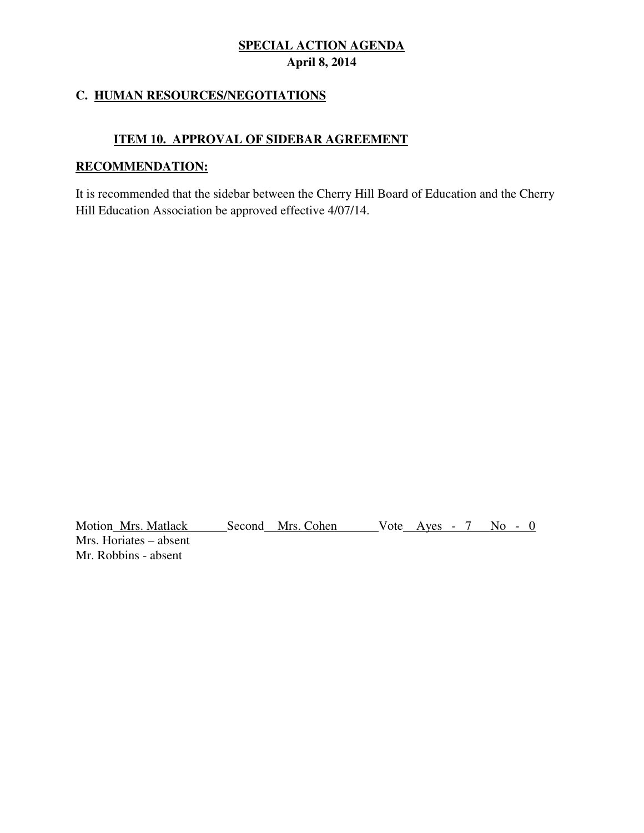# **C. HUMAN RESOURCES/NEGOTIATIONS**

# **ITEM 10. APPROVAL OF SIDEBAR AGREEMENT**

# **RECOMMENDATION:**

It is recommended that the sidebar between the Cherry Hill Board of Education and the Cherry Hill Education Association be approved effective 4/07/14.

Motion Mrs. Matlack Second Mrs. Cohen Vote Ayes - 7 No - 0 Mrs. Horiates – absent Mr. Robbins - absent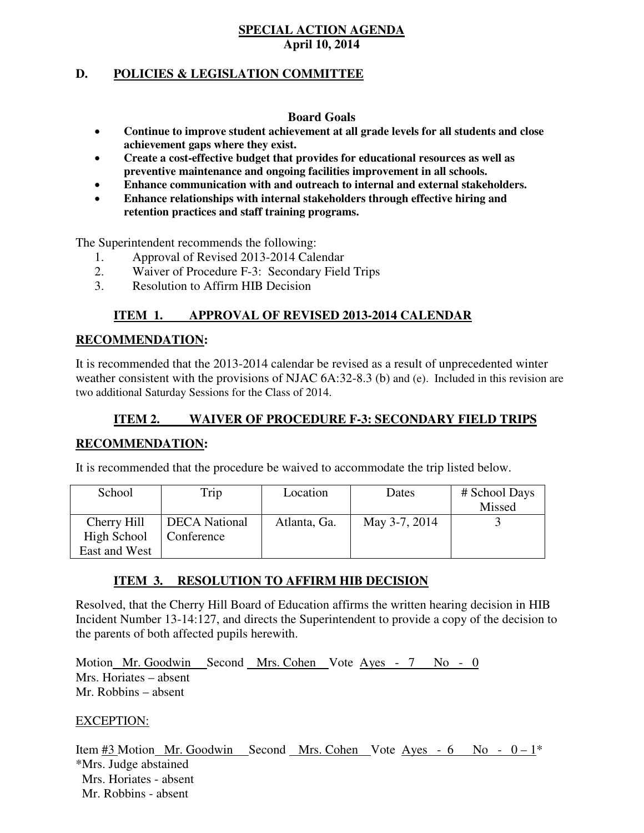# **D. POLICIES & LEGISLATION COMMITTEE**

#### **Board Goals**

- **Continue to improve student achievement at all grade levels for all students and close achievement gaps where they exist.**
- **Create a cost-effective budget that provides for educational resources as well as preventive maintenance and ongoing facilities improvement in all schools.**
- **Enhance communication with and outreach to internal and external stakeholders.**
- **Enhance relationships with internal stakeholders through effective hiring and retention practices and staff training programs.**

The Superintendent recommends the following:

- 1. Approval of Revised 2013-2014 Calendar
- 2. Waiver of Procedure F-3: Secondary Field Trips
- 3. Resolution to Affirm HIB Decision

# **ITEM 1. APPROVAL OF REVISED 2013-2014 CALENDAR**

# **RECOMMENDATION:**

It is recommended that the 2013-2014 calendar be revised as a result of unprecedented winter weather consistent with the provisions of NJAC 6A:32-8.3 (b) and (e). Included in this revision are two additional Saturday Sessions for the Class of 2014.

# **ITEM 2. WAIVER OF PROCEDURE F-3: SECONDARY FIELD TRIPS**

### **RECOMMENDATION:**

It is recommended that the procedure be waived to accommodate the trip listed below.

| School        | Trip                 | Location     | Dates         | # School Days |
|---------------|----------------------|--------------|---------------|---------------|
|               |                      |              |               | Missed        |
| Cherry Hill   | <b>DECA</b> National | Atlanta, Ga. | May 3-7, 2014 |               |
| High School   | Conference           |              |               |               |
| East and West |                      |              |               |               |

# **ITEM 3. RESOLUTION TO AFFIRM HIB DECISION**

Resolved, that the Cherry Hill Board of Education affirms the written hearing decision in HIB Incident Number 13-14:127, and directs the Superintendent to provide a copy of the decision to the parents of both affected pupils herewith.

Motion Mr. Goodwin Second Mrs. Cohen Vote Ayes - 7 No - 0 Mrs. Horiates – absent Mr. Robbins – absent

### EXCEPTION:

Item  $\#3$  Motion Mr. Goodwin Second Mrs. Cohen Vote Ayes - 6 No -  $0-1^*$ \*Mrs. Judge abstained Mrs. Horiates - absent Mr. Robbins - absent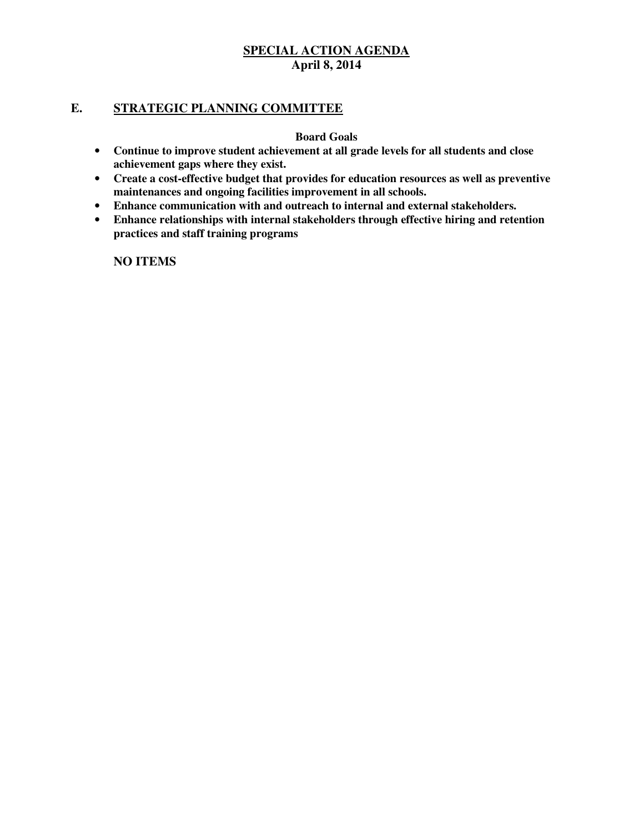### **E. STRATEGIC PLANNING COMMITTEE**

#### **Board Goals**

- **Continue to improve student achievement at all grade levels for all students and close achievement gaps where they exist.**
- **Create a cost-effective budget that provides for education resources as well as preventive maintenances and ongoing facilities improvement in all schools.**
- **Enhance communication with and outreach to internal and external stakeholders.**
- **Enhance relationships with internal stakeholders through effective hiring and retention practices and staff training programs**

**NO ITEMS**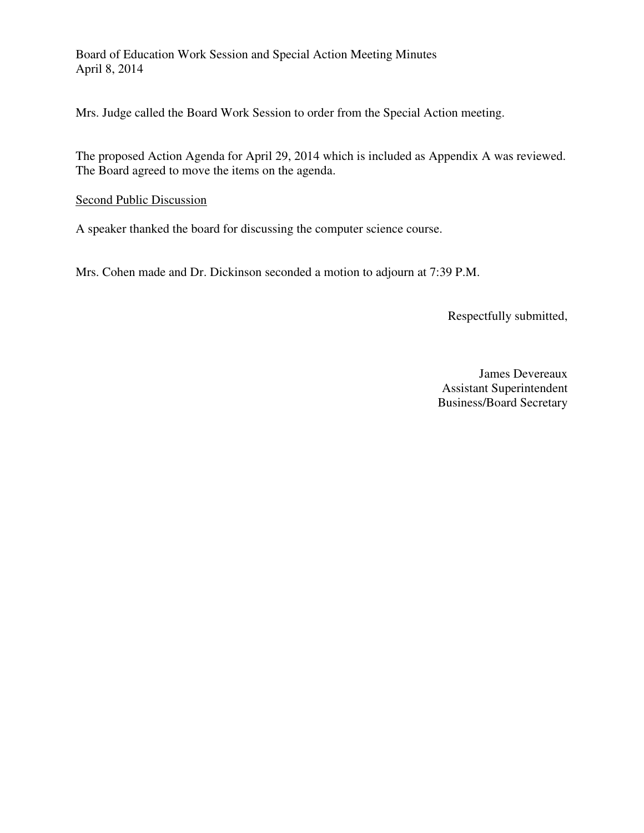Board of Education Work Session and Special Action Meeting Minutes April 8, 2014

Mrs. Judge called the Board Work Session to order from the Special Action meeting.

The proposed Action Agenda for April 29, 2014 which is included as Appendix A was reviewed. The Board agreed to move the items on the agenda.

# Second Public Discussion

A speaker thanked the board for discussing the computer science course.

Mrs. Cohen made and Dr. Dickinson seconded a motion to adjourn at 7:39 P.M.

Respectfully submitted,

James Devereaux Assistant Superintendent Business/Board Secretary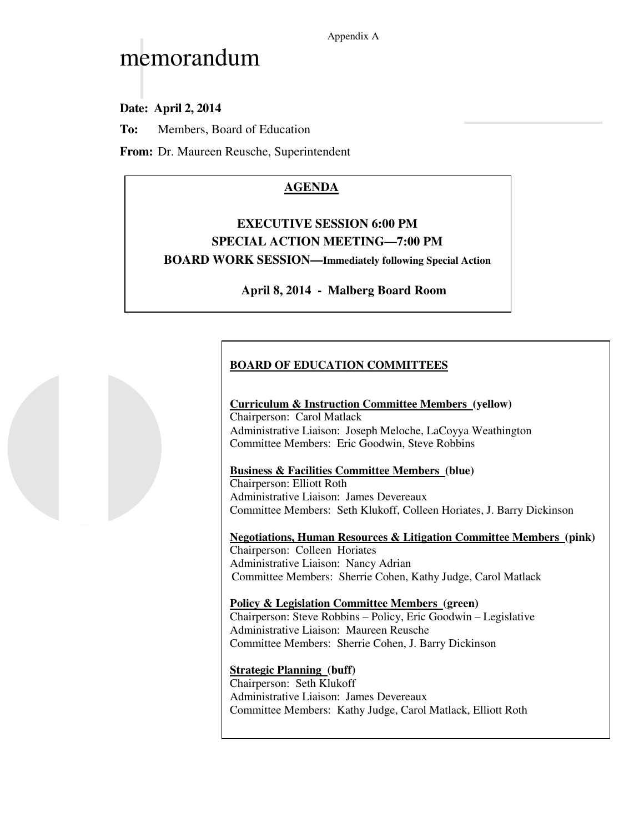# memorandum

**Date: April 2, 2014**

**To:** Members, Board of Education

**From:** Dr. Maureen Reusche, Superintendent

# **AGENDA**

# **EXECUTIVE SESSION 6:00 PM SPECIAL ACTION MEETING—7:00 PM BOARD WORK SESSION—Immediately following Special Action**

# **April 8, 2014 - Malberg Board Room**

# **BOARD OF EDUCATION COMMITTEES**

### **Curriculum & Instruction Committee Members (yellow)**

Chairperson: Carol Matlack Administrative Liaison: Joseph Meloche, LaCoyya Weathington Committee Members: Eric Goodwin, Steve Robbins

### **Business & Facilities Committee Members (blue)**

Chairperson: Elliott Roth Administrative Liaison: James Devereaux Committee Members: Seth Klukoff, Colleen Horiates, J. Barry Dickinson

**Negotiations, Human Resources & Litigation Committee Members (pink)**  Chairperson: Colleen Horiates Administrative Liaison: Nancy Adrian Committee Members: Sherrie Cohen, Kathy Judge, Carol Matlack

#### **Policy & Legislation Committee Members (green)**  Chairperson: Steve Robbins – Policy, Eric Goodwin – Legislative Administrative Liaison: Maureen Reusche Committee Members: Sherrie Cohen, J. Barry Dickinson

# **Strategic Planning (buff)**

Chairperson: Seth Klukoff Administrative Liaison: James Devereaux Committee Members: Kathy Judge, Carol Matlack, Elliott Roth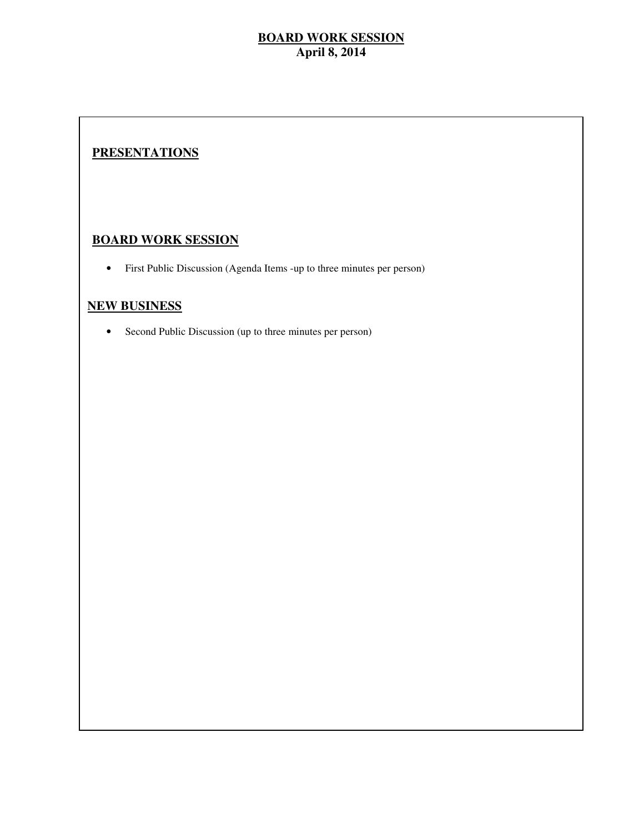# **PRESENTATIONS**

# **BOARD WORK SESSION**

• First Public Discussion (Agenda Items -up to three minutes per person)

### **NEW BUSINESS**

• Second Public Discussion (up to three minutes per person)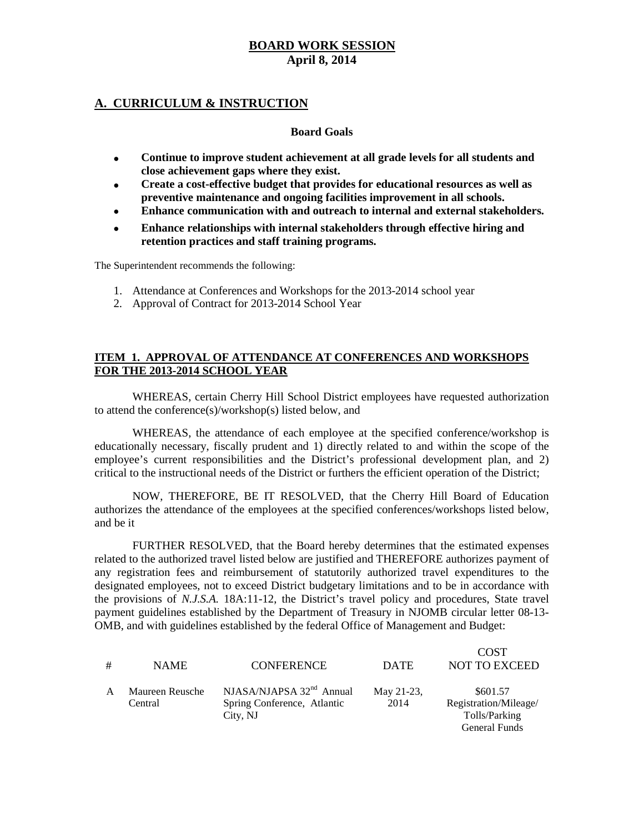### **A. CURRICULUM & INSTRUCTION**

#### **Board Goals**

- **Continue to improve student achievement at all grade levels for all students and close achievement gaps where they exist.**
- **Create a cost-effective budget that provides for educational resources as well as preventive maintenance and ongoing facilities improvement in all schools.**
- **Enhance communication with and outreach to internal and external stakeholders.**
- **Enhance relationships with internal stakeholders through effective hiring and retention practices and staff training programs.**

The Superintendent recommends the following:

- 1. Attendance at Conferences and Workshops for the 2013-2014 school year
- 2. Approval of Contract for 2013-2014 School Year

#### **ITEM 1. APPROVAL OF ATTENDANCE AT CONFERENCES AND WORKSHOPS FOR THE 2013-2014 SCHOOL YEAR**

WHEREAS, certain Cherry Hill School District employees have requested authorization to attend the conference(s)/workshop(s) listed below, and

WHEREAS, the attendance of each employee at the specified conference/workshop is educationally necessary, fiscally prudent and 1) directly related to and within the scope of the employee's current responsibilities and the District's professional development plan, and 2) critical to the instructional needs of the District or furthers the efficient operation of the District;

NOW, THEREFORE, BE IT RESOLVED, that the Cherry Hill Board of Education authorizes the attendance of the employees at the specified conferences/workshops listed below, and be it

FURTHER RESOLVED, that the Board hereby determines that the estimated expenses related to the authorized travel listed below are justified and THEREFORE authorizes payment of any registration fees and reimbursement of statutorily authorized travel expenditures to the designated employees, not to exceed District budgetary limitations and to be in accordance with the provisions of *N.J.S.A.* 18A:11-12, the District's travel policy and procedures, State travel payment guidelines established by the Department of Treasury in NJOMB circular letter 08-13- OMB, and with guidelines established by the federal Office of Management and Budget:

|   |                            |                                                                       |                    | <b>COST</b>                                        |
|---|----------------------------|-----------------------------------------------------------------------|--------------------|----------------------------------------------------|
| # | <b>NAME</b>                | <b>CONFERENCE</b>                                                     | <b>DATE</b>        | <b>NOT TO EXCEED</b>                               |
|   | Maureen Reusche<br>Central | NJASA/NJAPSA $32nd$ Annual<br>Spring Conference, Atlantic<br>City, NJ | May 21-23,<br>2014 | \$601.57<br>Registration/Mileage/<br>Tolls/Parking |
|   |                            |                                                                       |                    | General Funds                                      |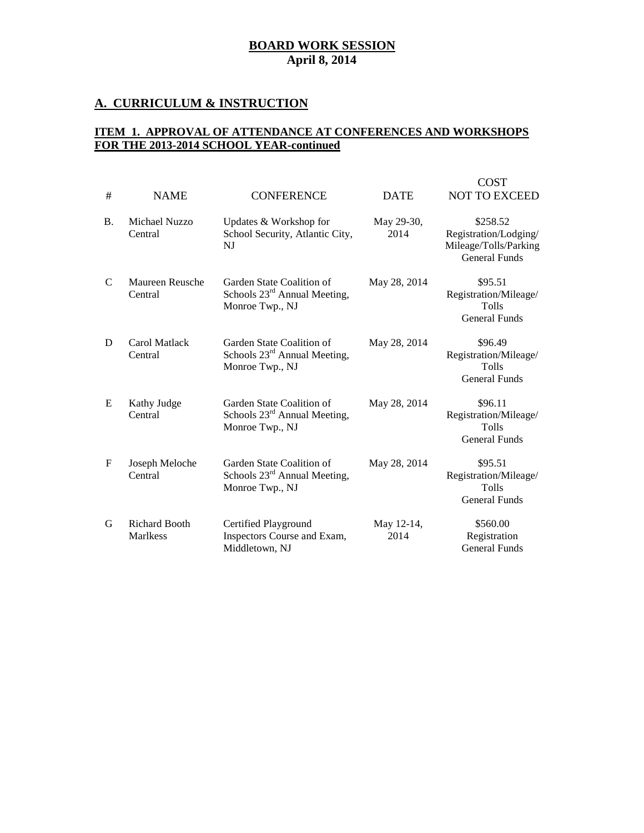# **A. CURRICULUM & INSTRUCTION**

### **ITEM 1. APPROVAL OF ATTENDANCE AT CONFERENCES AND WORKSHOPS FOR THE 2013-2014 SCHOOL YEAR-continued**

| #           | <b>NAME</b>                             | <b>CONFERENCE</b>                                                                        | <b>DATE</b>        | <b>COST</b><br><b>NOT TO EXCEED</b>                                                |
|-------------|-----------------------------------------|------------------------------------------------------------------------------------------|--------------------|------------------------------------------------------------------------------------|
| <b>B.</b>   | Michael Nuzzo<br>Central                | Updates & Workshop for<br>School Security, Atlantic City,<br>NJ                          | May 29-30,<br>2014 | \$258.52<br>Registration/Lodging/<br>Mileage/Tolls/Parking<br><b>General Funds</b> |
| C           | Maureen Reusche<br>Central              | Garden State Coalition of<br>Schools $23^{\text{rd}}$ Annual Meeting,<br>Monroe Twp., NJ | May 28, 2014       | \$95.51<br>Registration/Mileage/<br>Tolls<br><b>General Funds</b>                  |
| D           | Carol Matlack<br>Central                | Garden State Coalition of<br>Schools 23 <sup>rd</sup> Annual Meeting,<br>Monroe Twp., NJ | May 28, 2014       | \$96.49<br>Registration/Mileage/<br>Tolls<br><b>General Funds</b>                  |
| E           | Kathy Judge<br>Central                  | Garden State Coalition of<br>Schools $23^{\text{rd}}$ Annual Meeting,<br>Monroe Twp., NJ | May 28, 2014       | \$96.11<br>Registration/Mileage/<br>Tolls<br><b>General Funds</b>                  |
| $\mathbf F$ | Joseph Meloche<br>Central               | Garden State Coalition of<br>Schools $23^{\text{rd}}$ Annual Meeting,<br>Monroe Twp., NJ | May 28, 2014       | \$95.51<br>Registration/Mileage/<br><b>Tolls</b><br><b>General Funds</b>           |
| G           | <b>Richard Booth</b><br><b>Marlkess</b> | Certified Playground<br>Inspectors Course and Exam,<br>Middletown, NJ                    | May 12-14,<br>2014 | \$560.00<br>Registration<br><b>General Funds</b>                                   |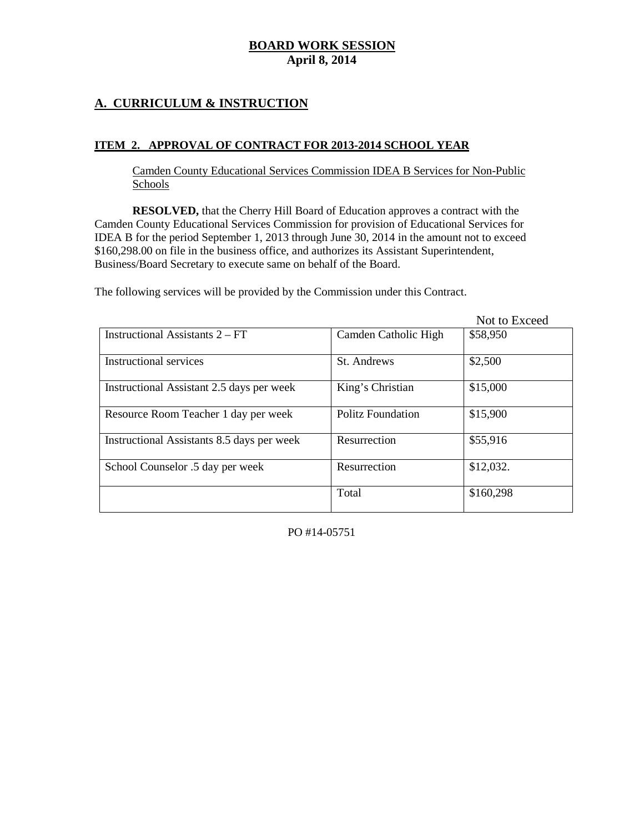# **A. CURRICULUM & INSTRUCTION**

#### **ITEM 2. APPROVAL OF CONTRACT FOR 2013-2014 SCHOOL YEAR**

Camden County Educational Services Commission IDEA B Services for Non-Public Schools

**RESOLVED,** that the Cherry Hill Board of Education approves a contract with the Camden County Educational Services Commission for provision of Educational Services for IDEA B for the period September 1, 2013 through June 30, 2014 in the amount not to exceed \$160,298.00 on file in the business office, and authorizes its Assistant Superintendent, Business/Board Secretary to execute same on behalf of the Board.

The following services will be provided by the Commission under this Contract.

|                                            |                          | Not to Exceed |
|--------------------------------------------|--------------------------|---------------|
| Instructional Assistants 2 – FT            | Camden Catholic High     | \$58,950      |
| Instructional services                     | St. Andrews              | \$2,500       |
| Instructional Assistant 2.5 days per week  | King's Christian         | \$15,000      |
| Resource Room Teacher 1 day per week       | <b>Politz Foundation</b> | \$15,900      |
| Instructional Assistants 8.5 days per week | Resurrection             | \$55,916      |
| School Counselor .5 day per week           | Resurrection             | \$12,032.     |
|                                            | Total                    | \$160,298     |

PO #14-05751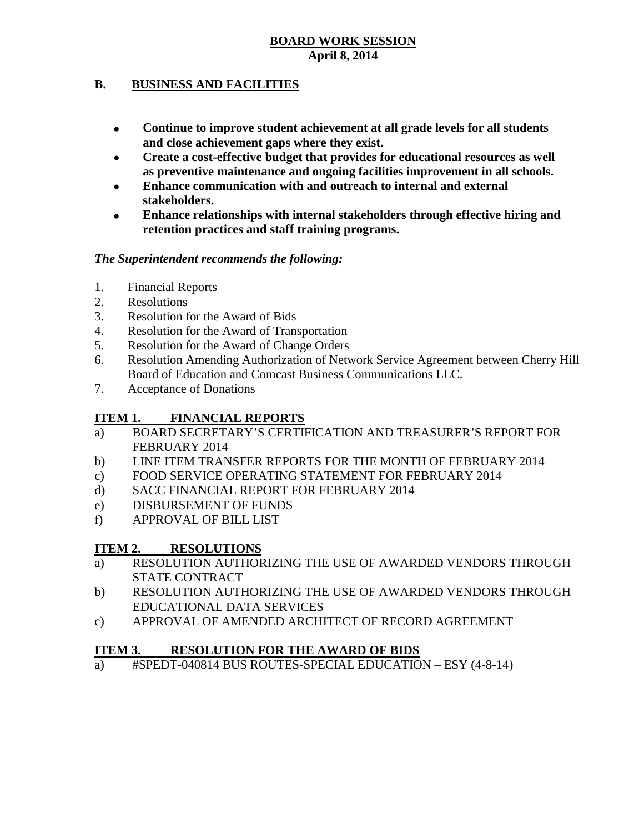# **B. BUSINESS AND FACILITIES**

- **Continue to improve student achievement at all grade levels for all students and close achievement gaps where they exist.**
- **Create a cost-effective budget that provides for educational resources as well as preventive maintenance and ongoing facilities improvement in all schools.**
- **Enhance communication with and outreach to internal and external stakeholders.**
- **Enhance relationships with internal stakeholders through effective hiring and retention practices and staff training programs.**

# *The Superintendent recommends the following:*

- 1. Financial Reports
- 2. Resolutions
- 3. Resolution for the Award of Bids
- 4. Resolution for the Award of Transportation
- 5. Resolution for the Award of Change Orders
- 6. Resolution Amending Authorization of Network Service Agreement between Cherry Hill Board of Education and Comcast Business Communications LLC.
- 7. Acceptance of Donations

# **ITEM 1. FINANCIAL REPORTS**

- a) BOARD SECRETARY'S CERTIFICATION AND TREASURER'S REPORT FOR FEBRUARY 2014
- b) LINE ITEM TRANSFER REPORTS FOR THE MONTH OF FEBRUARY 2014
- c) FOOD SERVICE OPERATING STATEMENT FOR FEBRUARY 2014
- d) SACC FINANCIAL REPORT FOR FEBRUARY 2014
- e) DISBURSEMENT OF FUNDS
- f) APPROVAL OF BILL LIST

# **ITEM 2. RESOLUTIONS**

- a) RESOLUTION AUTHORIZING THE USE OF AWARDED VENDORS THROUGH STATE CONTRACT
- b) RESOLUTION AUTHORIZING THE USE OF AWARDED VENDORS THROUGH EDUCATIONAL DATA SERVICES
- c) APPROVAL OF AMENDED ARCHITECT OF RECORD AGREEMENT

# **ITEM 3. RESOLUTION FOR THE AWARD OF BIDS**

a) #SPEDT-040814 BUS ROUTES-SPECIAL EDUCATION – ESY (4-8-14)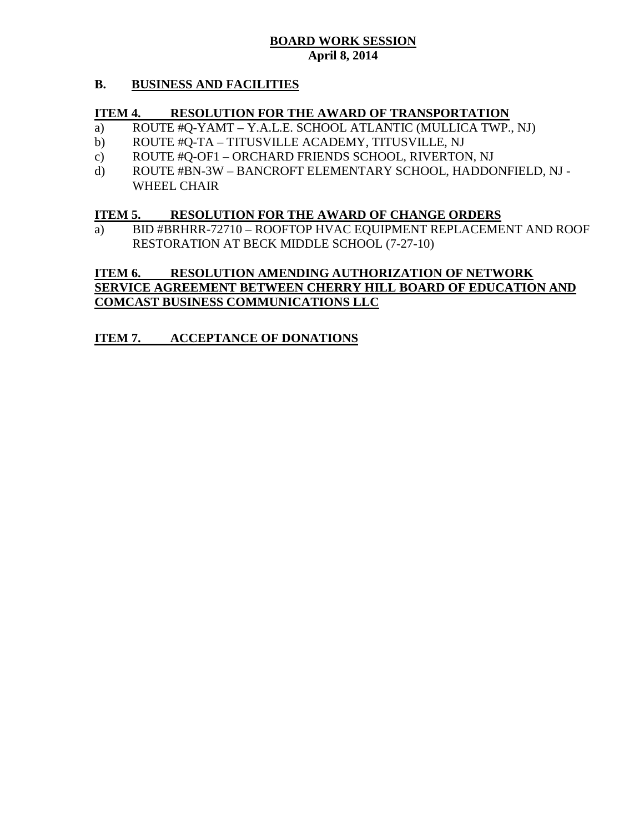### **B. BUSINESS AND FACILITIES**

### **ITEM 4. RESOLUTION FOR THE AWARD OF TRANSPORTATION**

- a) ROUTE #Q-YAMT Y.A.L.E. SCHOOL ATLANTIC (MULLICA TWP., NJ)
- b) ROUTE #Q-TA TITUSVILLE ACADEMY, TITUSVILLE, NJ
- c) ROUTE #Q-OF1 ORCHARD FRIENDS SCHOOL, RIVERTON, NJ
- d) ROUTE #BN-3W BANCROFT ELEMENTARY SCHOOL, HADDONFIELD, NJ WHEEL CHAIR

#### **ITEM 5. RESOLUTION FOR THE AWARD OF CHANGE ORDERS**

a) BID #BRHRR-72710 – ROOFTOP HVAC EQUIPMENT REPLACEMENT AND ROOF RESTORATION AT BECK MIDDLE SCHOOL (7-27-10)

# **ITEM 6. RESOLUTION AMENDING AUTHORIZATION OF NETWORK SERVICE AGREEMENT BETWEEN CHERRY HILL BOARD OF EDUCATION AND COMCAST BUSINESS COMMUNICATIONS LLC**

# **ITEM 7. ACCEPTANCE OF DONATIONS**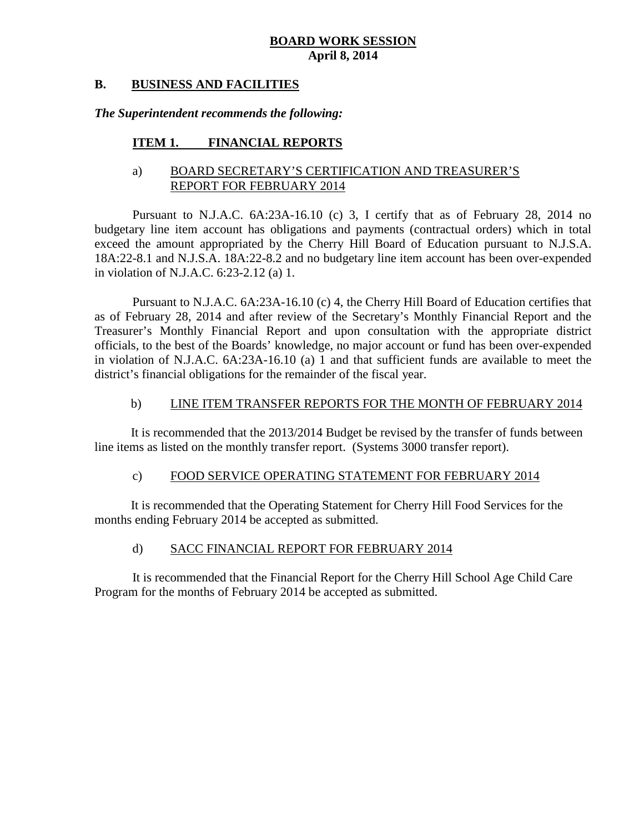### **B. BUSINESS AND FACILITIES**

#### *The Superintendent recommends the following:*

### **ITEM 1. FINANCIAL REPORTS**

### a) BOARD SECRETARY'S CERTIFICATION AND TREASURER'S REPORT FOR FEBRUARY 2014

Pursuant to N.J.A.C. 6A:23A-16.10 (c) 3, I certify that as of February 28, 2014 no budgetary line item account has obligations and payments (contractual orders) which in total exceed the amount appropriated by the Cherry Hill Board of Education pursuant to N.J.S.A. 18A:22-8.1 and N.J.S.A. 18A:22-8.2 and no budgetary line item account has been over-expended in violation of N.J.A.C. 6:23-2.12 (a) 1.

Pursuant to N.J.A.C. 6A:23A-16.10 (c) 4, the Cherry Hill Board of Education certifies that as of February 28, 2014 and after review of the Secretary's Monthly Financial Report and the Treasurer's Monthly Financial Report and upon consultation with the appropriate district officials, to the best of the Boards' knowledge, no major account or fund has been over-expended in violation of N.J.A.C. 6A:23A-16.10 (a) 1 and that sufficient funds are available to meet the district's financial obligations for the remainder of the fiscal year.

#### b) LINE ITEM TRANSFER REPORTS FOR THE MONTH OF FEBRUARY 2014

It is recommended that the 2013/2014 Budget be revised by the transfer of funds between line items as listed on the monthly transfer report. (Systems 3000 transfer report).

#### c) FOOD SERVICE OPERATING STATEMENT FOR FEBRUARY 2014

It is recommended that the Operating Statement for Cherry Hill Food Services for the months ending February 2014 be accepted as submitted.

### d) SACC FINANCIAL REPORT FOR FEBRUARY 2014

It is recommended that the Financial Report for the Cherry Hill School Age Child Care Program for the months of February 2014 be accepted as submitted.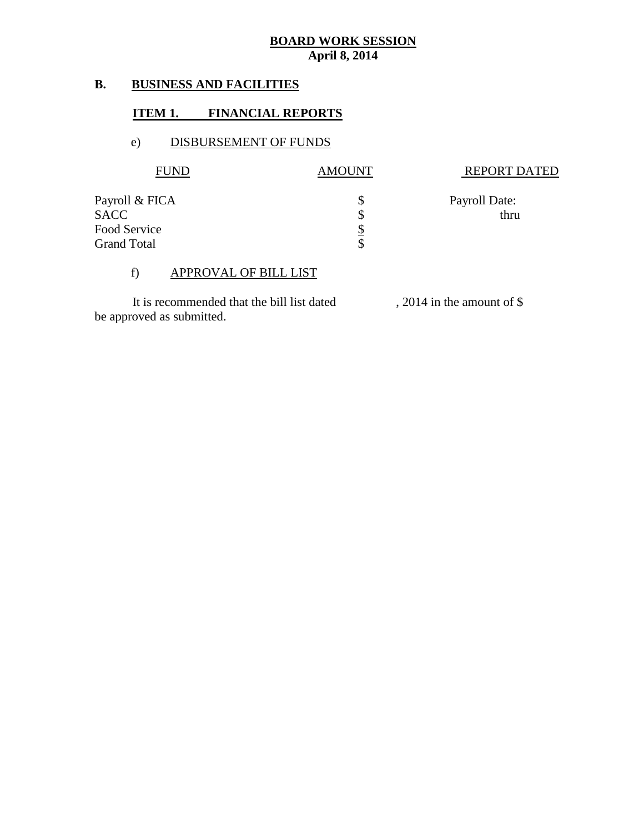# **B. BUSINESS AND FACILITIES**

# **ITEM 1. FINANCIAL REPORTS**

# e) DISBURSEMENT OF FUNDS

| <b>AMOUNT</b> | <b>REPORT DATED</b> |
|---------------|---------------------|
|               | Payroll Date:       |
|               | thru                |
|               |                     |
|               |                     |
|               |                     |

# f) APPROVAL OF BILL LIST

It is recommended that the bill list dated , 2014 in the amount of \$ be approved as submitted.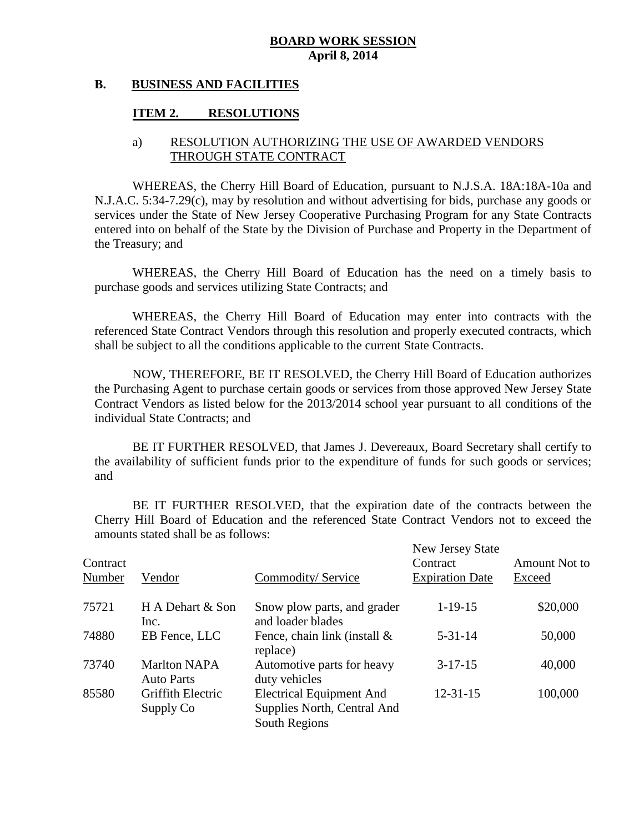### **B. BUSINESS AND FACILITIES**

### **ITEM 2. RESOLUTIONS**

### a) RESOLUTION AUTHORIZING THE USE OF AWARDED VENDORS THROUGH STATE CONTRACT

WHEREAS, the Cherry Hill Board of Education, pursuant to N.J.S.A. 18A:18A-10a and N.J.A.C. 5:34-7.29(c), may by resolution and without advertising for bids, purchase any goods or services under the State of New Jersey Cooperative Purchasing Program for any State Contracts entered into on behalf of the State by the Division of Purchase and Property in the Department of the Treasury; and

WHEREAS, the Cherry Hill Board of Education has the need on a timely basis to purchase goods and services utilizing State Contracts; and

WHEREAS, the Cherry Hill Board of Education may enter into contracts with the referenced State Contract Vendors through this resolution and properly executed contracts, which shall be subject to all the conditions applicable to the current State Contracts.

NOW, THEREFORE, BE IT RESOLVED, the Cherry Hill Board of Education authorizes the Purchasing Agent to purchase certain goods or services from those approved New Jersey State Contract Vendors as listed below for the 2013/2014 school year pursuant to all conditions of the individual State Contracts; and

BE IT FURTHER RESOLVED, that James J. Devereaux, Board Secretary shall certify to the availability of sufficient funds prior to the expenditure of funds for such goods or services; and

BE IT FURTHER RESOLVED, that the expiration date of the contracts between the Cherry Hill Board of Education and the referenced State Contract Vendors not to exceed the amounts stated shall be as follows:

| Contract<br>Number | Vendor                                   | Commodity/Service                                                               | New Jersey State<br>Contract<br><b>Expiration Date</b> | Amount Not to<br>Exceed |
|--------------------|------------------------------------------|---------------------------------------------------------------------------------|--------------------------------------------------------|-------------------------|
| 75721              | H A Dehart & Son<br>Inc.                 | Snow plow parts, and grader<br>and loader blades                                | $1 - 19 - 15$                                          | \$20,000                |
| 74880              | EB Fence, LLC                            | Fence, chain link (install $\&$<br>replace)                                     | $5 - 31 - 14$                                          | 50,000                  |
| 73740              | <b>Marlton NAPA</b><br><b>Auto Parts</b> | Automotive parts for heavy<br>duty vehicles                                     | $3-17-15$                                              | 40,000                  |
| 85580              | Griffith Electric<br>Supply Co           | <b>Electrical Equipment And</b><br>Supplies North, Central And<br>South Regions | $12 - 31 - 15$                                         | 100,000                 |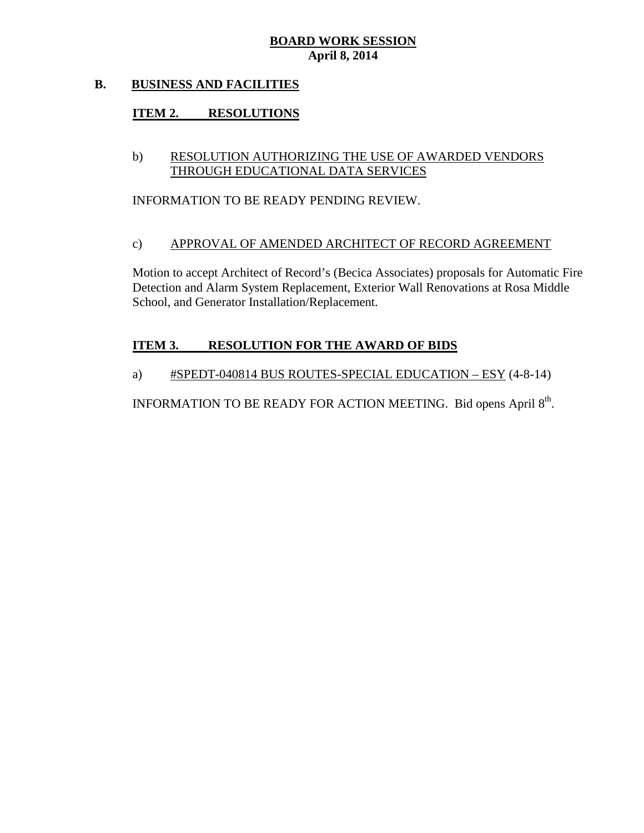# **B. BUSINESS AND FACILITIES**

# **ITEM 2. RESOLUTIONS**

### b) RESOLUTION AUTHORIZING THE USE OF AWARDED VENDORS THROUGH EDUCATIONAL DATA SERVICES

INFORMATION TO BE READY PENDING REVIEW.

#### c) APPROVAL OF AMENDED ARCHITECT OF RECORD AGREEMENT

Motion to accept Architect of Record's (Becica Associates) proposals for Automatic Fire Detection and Alarm System Replacement, Exterior Wall Renovations at Rosa Middle School, and Generator Installation/Replacement.

# **ITEM 3. RESOLUTION FOR THE AWARD OF BIDS**

### a) #SPEDT-040814 BUS ROUTES-SPECIAL EDUCATION – ESY (4-8-14)

INFORMATION TO BE READY FOR ACTION MEETING. Bid opens April 8<sup>th</sup>.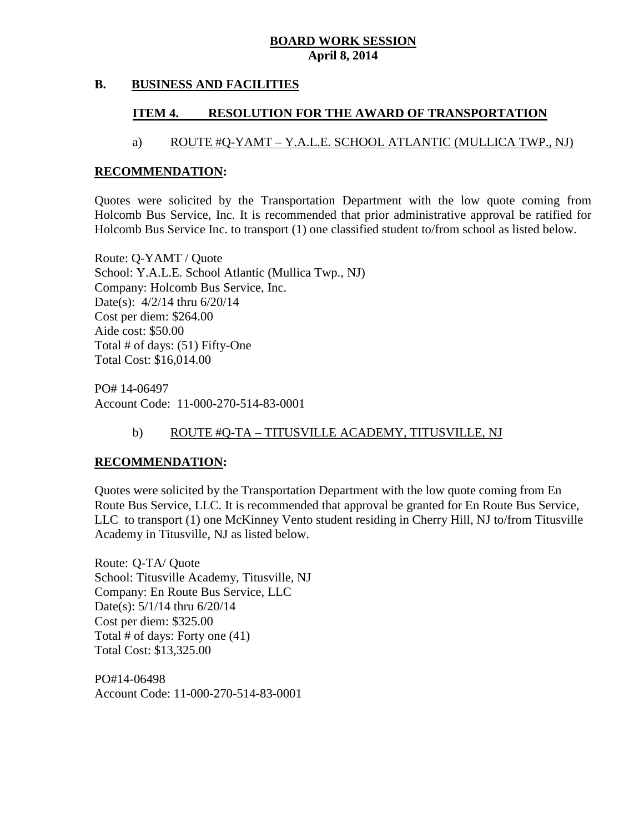### **B. BUSINESS AND FACILITIES**

# **ITEM 4. RESOLUTION FOR THE AWARD OF TRANSPORTATION**

# a) ROUTE #Q-YAMT – Y.A.L.E. SCHOOL ATLANTIC (MULLICA TWP., NJ)

### **RECOMMENDATION:**

Quotes were solicited by the Transportation Department with the low quote coming from Holcomb Bus Service, Inc. It is recommended that prior administrative approval be ratified for Holcomb Bus Service Inc. to transport (1) one classified student to/from school as listed below.

Route: Q-YAMT / Quote School: Y.A.L.E. School Atlantic (Mullica Twp., NJ) Company: Holcomb Bus Service, Inc. Date(s): 4/2/14 thru 6/20/14 Cost per diem: \$264.00 Aide cost: \$50.00 Total # of days: (51) Fifty-One Total Cost: \$16,014.00

PO# 14-06497 Account Code: 11-000-270-514-83-0001

# b) ROUTE #Q-TA – TITUSVILLE ACADEMY, TITUSVILLE, NJ

### **RECOMMENDATION:**

Quotes were solicited by the Transportation Department with the low quote coming from En Route Bus Service, LLC. It is recommended that approval be granted for En Route Bus Service, LLC to transport (1) one McKinney Vento student residing in Cherry Hill, NJ to/from Titusville Academy in Titusville, NJ as listed below.

Route: Q-TA/ Quote School: Titusville Academy, Titusville, NJ Company: En Route Bus Service, LLC Date(s): 5/1/14 thru 6/20/14 Cost per diem: \$325.00 Total # of days: Forty one (41) Total Cost: \$13,325.00

PO#14-06498 Account Code: 11-000-270-514-83-0001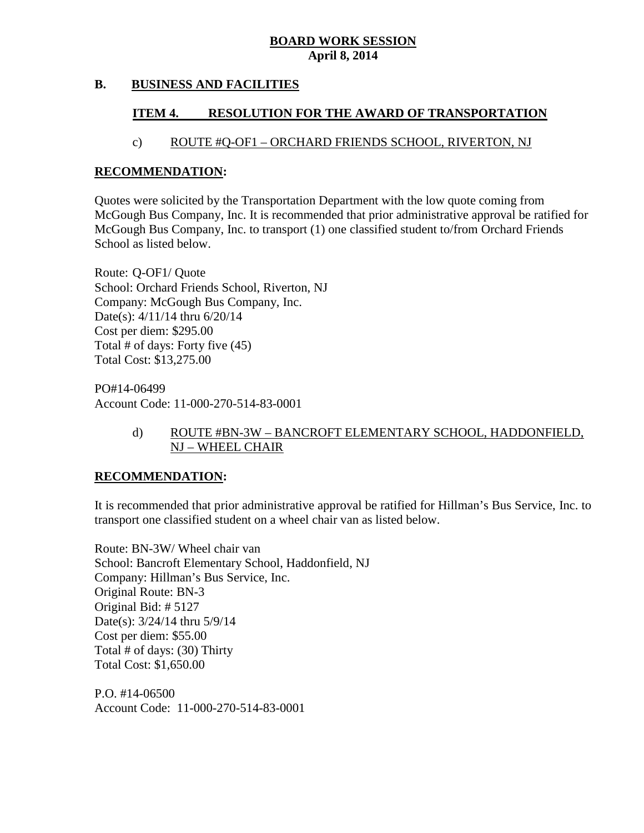# **B. BUSINESS AND FACILITIES**

# **ITEM 4. RESOLUTION FOR THE AWARD OF TRANSPORTATION**

# c) ROUTE #Q-OF1 – ORCHARD FRIENDS SCHOOL, RIVERTON, NJ

### **RECOMMENDATION:**

Quotes were solicited by the Transportation Department with the low quote coming from McGough Bus Company, Inc. It is recommended that prior administrative approval be ratified for McGough Bus Company, Inc. to transport (1) one classified student to/from Orchard Friends School as listed below.

Route: Q-OF1/ Quote School: Orchard Friends School, Riverton, NJ Company: McGough Bus Company, Inc. Date(s): 4/11/14 thru 6/20/14 Cost per diem: \$295.00 Total # of days: Forty five (45) Total Cost: \$13,275.00

PO#14-06499 Account Code: 11-000-270-514-83-0001

# d) ROUTE #BN-3W – BANCROFT ELEMENTARY SCHOOL, HADDONFIELD, NJ – WHEEL CHAIR

# **RECOMMENDATION:**

It is recommended that prior administrative approval be ratified for Hillman's Bus Service, Inc. to transport one classified student on a wheel chair van as listed below.

Route: BN-3W/ Wheel chair van School: Bancroft Elementary School, Haddonfield, NJ Company: Hillman's Bus Service, Inc. Original Route: BN-3 Original Bid: # 5127 Date(s): 3/24/14 thru 5/9/14 Cost per diem: \$55.00 Total # of days: (30) Thirty Total Cost: \$1,650.00

P.O. #14-06500 Account Code: 11-000-270-514-83-0001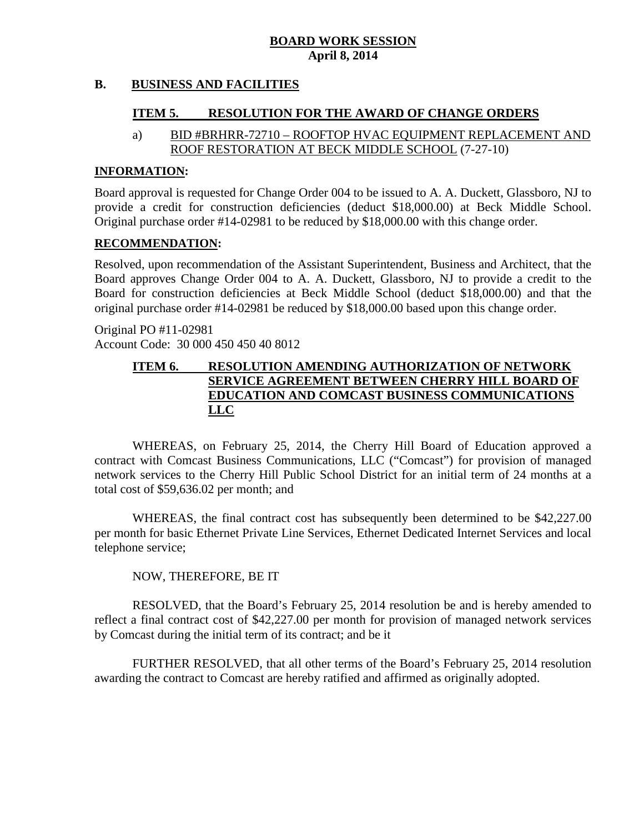# **B. BUSINESS AND FACILITIES**

# **ITEM 5. RESOLUTION FOR THE AWARD OF CHANGE ORDERS**

### a) BID #BRHRR-72710 – ROOFTOP HVAC EQUIPMENT REPLACEMENT AND ROOF RESTORATION AT BECK MIDDLE SCHOOL (7-27-10)

### **INFORMATION:**

Board approval is requested for Change Order 004 to be issued to A. A. Duckett, Glassboro, NJ to provide a credit for construction deficiencies (deduct \$18,000.00) at Beck Middle School. Original purchase order #14-02981 to be reduced by \$18,000.00 with this change order.

#### **RECOMMENDATION:**

Resolved, upon recommendation of the Assistant Superintendent, Business and Architect, that the Board approves Change Order 004 to A. A. Duckett, Glassboro, NJ to provide a credit to the Board for construction deficiencies at Beck Middle School (deduct \$18,000.00) and that the original purchase order #14-02981 be reduced by \$18,000.00 based upon this change order.

Original PO #11-02981 Account Code: 30 000 450 450 40 8012

# **ITEM 6. RESOLUTION AMENDING AUTHORIZATION OF NETWORK SERVICE AGREEMENT BETWEEN CHERRY HILL BOARD OF EDUCATION AND COMCAST BUSINESS COMMUNICATIONS LLC**

WHEREAS, on February 25, 2014, the Cherry Hill Board of Education approved a contract with Comcast Business Communications, LLC ("Comcast") for provision of managed network services to the Cherry Hill Public School District for an initial term of 24 months at a total cost of \$59,636.02 per month; and

WHEREAS, the final contract cost has subsequently been determined to be \$42,227.00 per month for basic Ethernet Private Line Services, Ethernet Dedicated Internet Services and local telephone service;

### NOW, THEREFORE, BE IT

RESOLVED, that the Board's February 25, 2014 resolution be and is hereby amended to reflect a final contract cost of \$42,227.00 per month for provision of managed network services by Comcast during the initial term of its contract; and be it

FURTHER RESOLVED, that all other terms of the Board's February 25, 2014 resolution awarding the contract to Comcast are hereby ratified and affirmed as originally adopted.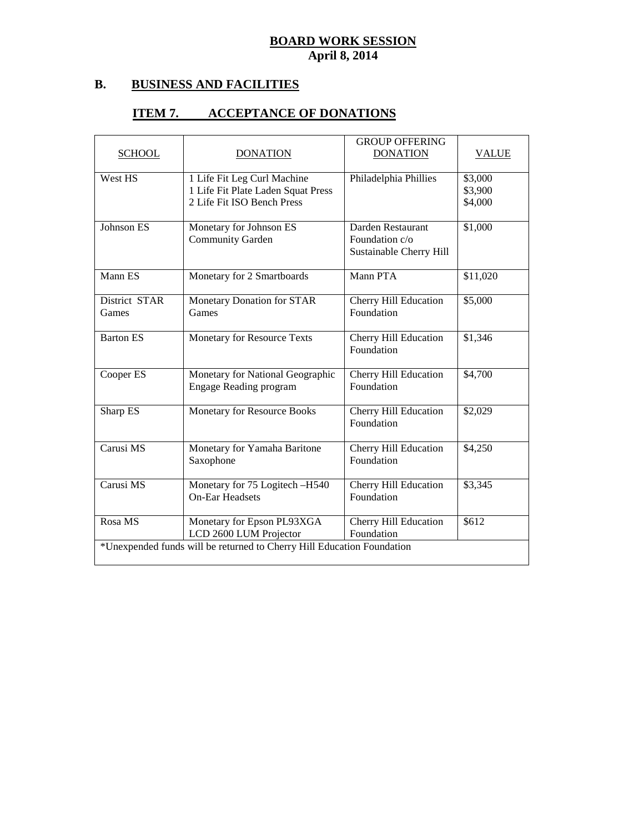# **B. BUSINESS AND FACILITIES**

# **ITEM 7. ACCEPTANCE OF DONATIONS**

| <b>SCHOOL</b>          | <b>DONATION</b>                                                                                 | <b>GROUP OFFERING</b><br><b>DONATION</b>                       | <b>VALUE</b>                  |
|------------------------|-------------------------------------------------------------------------------------------------|----------------------------------------------------------------|-------------------------------|
| West HS                | 1 Life Fit Leg Curl Machine<br>1 Life Fit Plate Laden Squat Press<br>2 Life Fit ISO Bench Press | Philadelphia Phillies                                          | \$3,000<br>\$3,900<br>\$4,000 |
| Johnson ES             | Monetary for Johnson ES<br><b>Community Garden</b>                                              | Darden Restaurant<br>Foundation c/o<br>Sustainable Cherry Hill | \$1,000                       |
| Mann ES                | Monetary for 2 Smartboards                                                                      | Mann PTA                                                       | \$11,020                      |
| District STAR<br>Games | Monetary Donation for STAR<br>Games                                                             | Cherry Hill Education<br>Foundation                            | \$5,000                       |
| <b>Barton ES</b>       | Monetary for Resource Texts                                                                     | Cherry Hill Education<br>Foundation                            | \$1,346                       |
| Cooper ES              | Monetary for National Geographic<br><b>Engage Reading program</b>                               | <b>Cherry Hill Education</b><br>Foundation                     | \$4,700                       |
| Sharp ES               | Monetary for Resource Books                                                                     | Cherry Hill Education<br>Foundation                            | \$2,029                       |
| Carusi MS              | Monetary for Yamaha Baritone<br>Saxophone                                                       | Cherry Hill Education<br>Foundation                            | \$4,250                       |
| Carusi MS              | Monetary for 75 Logitech -H540<br><b>On-Ear Headsets</b>                                        | Cherry Hill Education<br>Foundation                            | \$3,345                       |
| Rosa MS                | Monetary for Epson PL93XGA<br>LCD 2600 LUM Projector                                            | Cherry Hill Education<br>Foundation                            | \$612                         |
|                        | *Unexpended funds will be returned to Cherry Hill Education Foundation                          |                                                                |                               |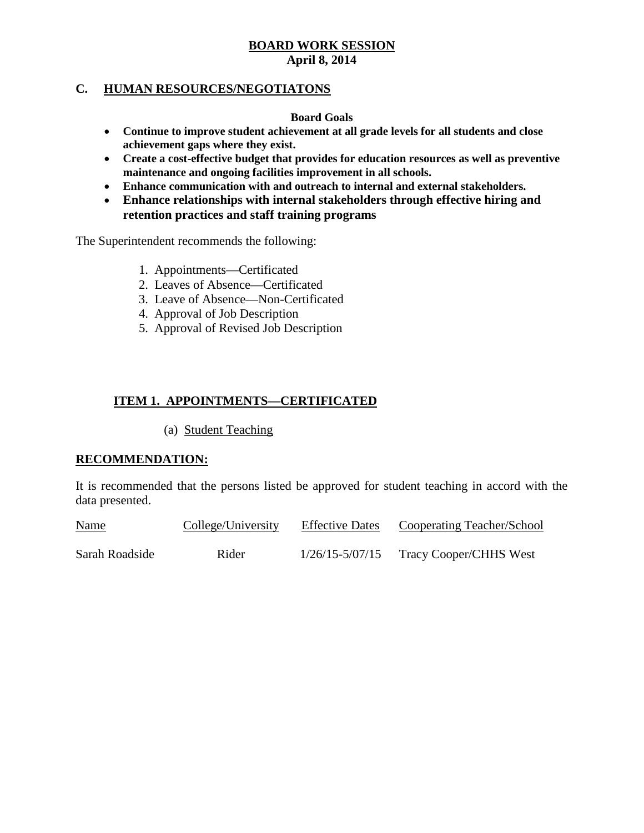### **C. HUMAN RESOURCES/NEGOTIATONS**

#### **Board Goals**

- **Continue to improve student achievement at all grade levels for all students and close achievement gaps where they exist.**
- **Create a cost-effective budget that provides for education resources as well as preventive maintenance and ongoing facilities improvement in all schools.**
- **Enhance communication with and outreach to internal and external stakeholders.**
- **Enhance relationships with internal stakeholders through effective hiring and retention practices and staff training programs**

The Superintendent recommends the following:

- 1. Appointments—Certificated
- 2. Leaves of Absence—Certificated
- 3. Leave of Absence—Non-Certificated
- 4. Approval of Job Description
- 5. Approval of Revised Job Description

# **ITEM 1. APPOINTMENTS—CERTIFICATED**

(a) Student Teaching

### **RECOMMENDATION:**

It is recommended that the persons listed be approved for student teaching in accord with the data presented.

| <b>Name</b>    | College/University | <b>Effective Dates</b> | Cooperating Teacher/School |
|----------------|--------------------|------------------------|----------------------------|
| Sarah Roadside | Rider              | $1/26/15 - 5/07/15$    | Tracy Cooper/CHHS West     |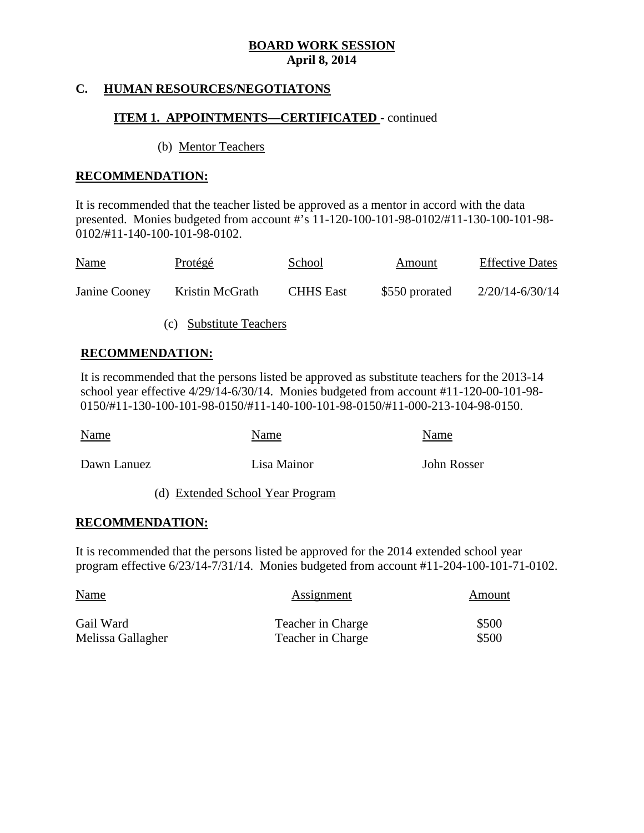### **C. HUMAN RESOURCES/NEGOTIATONS**

### **ITEM 1. APPOINTMENTS—CERTIFICATED** - continued

(b) Mentor Teachers

### **RECOMMENDATION:**

It is recommended that the teacher listed be approved as a mentor in accord with the data presented. Monies budgeted from account #'s 11-120-100-101-98-0102/#11-130-100-101-98- 0102/#11-140-100-101-98-0102.

| <b>Name</b>   | <u>Protégé</u>  | School           | Amount         | <b>Effective Dates</b> |
|---------------|-----------------|------------------|----------------|------------------------|
| Janine Cooney | Kristin McGrath | <b>CHHS</b> East | \$550 prorated | $2/20/14 - 6/30/14$    |

(c) Substitute Teachers

### **RECOMMENDATION:**

It is recommended that the persons listed be approved as substitute teachers for the 2013-14 school year effective 4/29/14-6/30/14. Monies budgeted from account #11-120-00-101-98- 0150/#11-130-100-101-98-0150/#11-140-100-101-98-0150/#11-000-213-104-98-0150.

| Name        | Name        | Name        |
|-------------|-------------|-------------|
| Dawn Lanuez | Lisa Mainor | John Rosser |

# (d) Extended School Year Program

#### **RECOMMENDATION:**

It is recommended that the persons listed be approved for the 2014 extended school year program effective 6/23/14-7/31/14. Monies budgeted from account #11-204-100-101-71-0102.

| <b>Name</b>       | Assignment               | Amount |  |
|-------------------|--------------------------|--------|--|
| Gail Ward         | <b>Teacher in Charge</b> | \$500  |  |
| Melissa Gallagher | Teacher in Charge        | \$500  |  |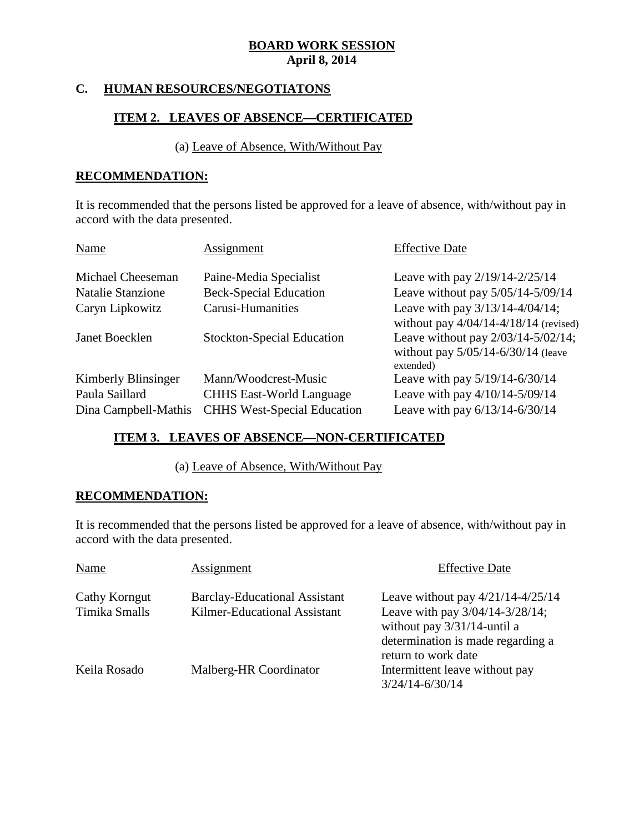# **C. HUMAN RESOURCES/NEGOTIATONS**

# **ITEM 2. LEAVES OF ABSENCE—CERTIFICATED**

# (a) Leave of Absence, With/Without Pay

### **RECOMMENDATION:**

It is recommended that the persons listed be approved for a leave of absence, with/without pay in accord with the data presented.

| Name                     | Assignment                         | <b>Effective Date</b>                                                                          |
|--------------------------|------------------------------------|------------------------------------------------------------------------------------------------|
| Michael Cheeseman        | Paine-Media Specialist             | Leave with pay $2/19/14 - 2/25/14$                                                             |
| <b>Natalie Stanzione</b> | <b>Beck-Special Education</b>      | Leave without pay $5/05/14 - 5/09/14$                                                          |
| Caryn Lipkowitz          | Carusi-Humanities                  | Leave with pay $3/13/14 - 4/04/14$ ;<br>without pay $4/04/14-4/18/14$ (revised)                |
| Janet Boecklen           | <b>Stockton-Special Education</b>  | Leave without pay $2/03/14 - 5/02/14$ ;<br>without pay $5/05/14 - 6/30/14$ (leave<br>extended) |
| Kimberly Blinsinger      | Mann/Woodcrest-Music               | Leave with pay 5/19/14-6/30/14                                                                 |
| Paula Saillard           | <b>CHHS East-World Language</b>    | Leave with pay 4/10/14-5/09/14                                                                 |
| Dina Campbell-Mathis     | <b>CHHS West-Special Education</b> | Leave with pay 6/13/14-6/30/14                                                                 |

# **ITEM 3. LEAVES OF ABSENCE—NON-CERTIFICATED**

(a) Leave of Absence, With/Without Pay

### **RECOMMENDATION:**

It is recommended that the persons listed be approved for a leave of absence, with/without pay in accord with the data presented.

| Name                           | Assignment                                                           | <b>Effective Date</b>                                                                                                                                                  |
|--------------------------------|----------------------------------------------------------------------|------------------------------------------------------------------------------------------------------------------------------------------------------------------------|
| Cathy Korngut<br>Timika Smalls | <b>Barclay-Educational Assistant</b><br>Kilmer-Educational Assistant | Leave without pay $4/21/14 - 4/25/14$<br>Leave with pay 3/04/14-3/28/14;<br>without pay $3/31/14$ -until a<br>determination is made regarding a<br>return to work date |
| Keila Rosado                   | Malberg-HR Coordinator                                               | Intermittent leave without pay<br>$3/24/14 - 6/30/14$                                                                                                                  |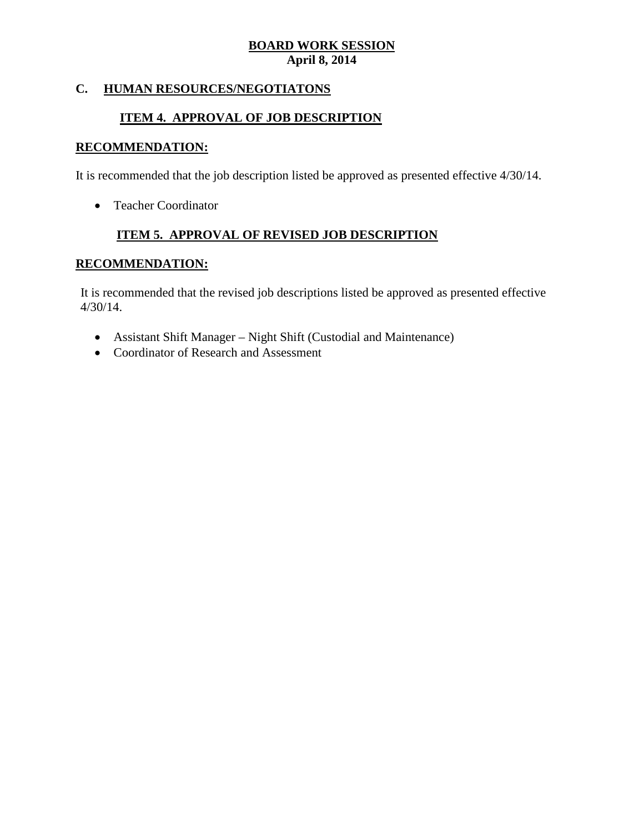# **C. HUMAN RESOURCES/NEGOTIATONS**

# **ITEM 4. APPROVAL OF JOB DESCRIPTION**

# **RECOMMENDATION:**

It is recommended that the job description listed be approved as presented effective 4/30/14.

• Teacher Coordinator

# **ITEM 5. APPROVAL OF REVISED JOB DESCRIPTION**

### **RECOMMENDATION:**

It is recommended that the revised job descriptions listed be approved as presented effective 4/30/14.

- Assistant Shift Manager Night Shift (Custodial and Maintenance)
- Coordinator of Research and Assessment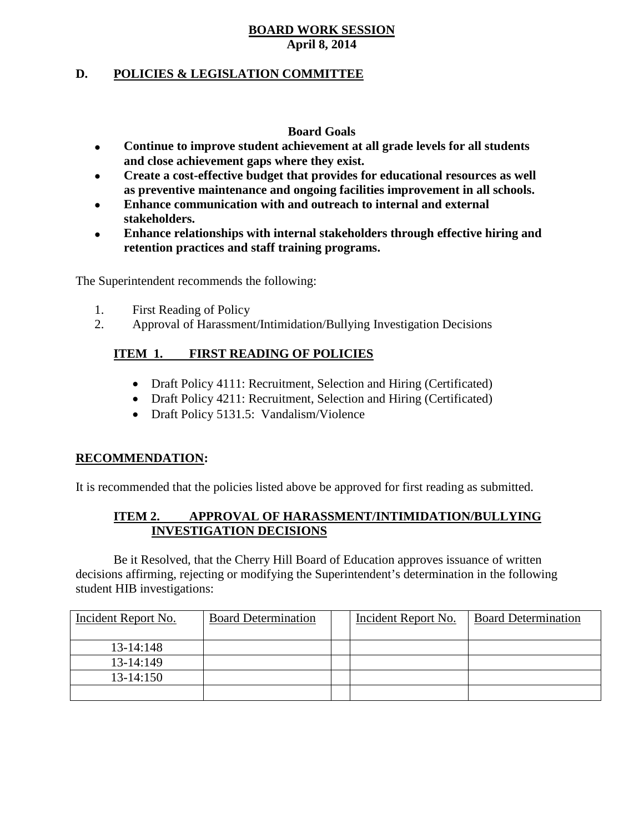# **D. POLICIES & LEGISLATION COMMITTEE**

### **Board Goals**

- **Continue to improve student achievement at all grade levels for all students and close achievement gaps where they exist.**
- **Create a cost-effective budget that provides for educational resources as well as preventive maintenance and ongoing facilities improvement in all schools.**
- **Enhance communication with and outreach to internal and external stakeholders.**
- **Enhance relationships with internal stakeholders through effective hiring and retention practices and staff training programs.**

The Superintendent recommends the following:

- 1. First Reading of Policy
- 2. Approval of Harassment/Intimidation/Bullying Investigation Decisions

# **ITEM 1. FIRST READING OF POLICIES**

- Draft Policy 4111: Recruitment, Selection and Hiring (Certificated)
- Draft Policy 4211: Recruitment, Selection and Hiring (Certificated)
- Draft Policy 5131.5: Vandalism/Violence

# **RECOMMENDATION:**

It is recommended that the policies listed above be approved for first reading as submitted.

# **ITEM 2. APPROVAL OF HARASSMENT/INTIMIDATION/BULLYING INVESTIGATION DECISIONS**

Be it Resolved, that the Cherry Hill Board of Education approves issuance of written decisions affirming, rejecting or modifying the Superintendent's determination in the following student HIB investigations:

| Incident Report No. | <b>Board Determination</b> | Incident Report No. | <b>Board Determination</b> |
|---------------------|----------------------------|---------------------|----------------------------|
| $13 - 14:148$       |                            |                     |                            |
| $13-14:149$         |                            |                     |                            |
| $13-14:150$         |                            |                     |                            |
|                     |                            |                     |                            |